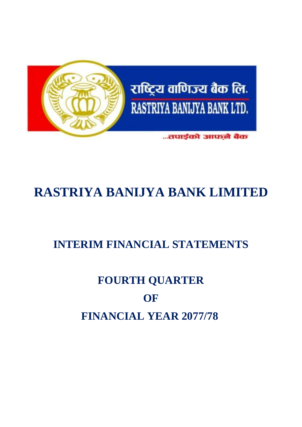

# **RASTRIYA BANIJYA BANK LIMITED**

# **INTERIM FINANCIAL STATEMENTS**

# **FOURTH QUARTER OF FINANCIAL YEAR 2077/78**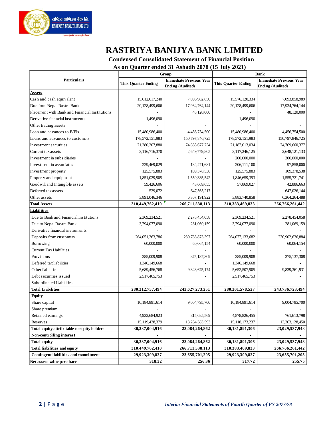

## **RASTRIYA BANIJYA BANK LIMITED**

 **Condensed Consolidated Statement of Financial Position**

 **As on Quarter ended 31 Ashadh 2078 (15 July 2021)**

|                                                |                            | Group                          |                            | <b>Bank</b>                    |
|------------------------------------------------|----------------------------|--------------------------------|----------------------------|--------------------------------|
| <b>Particulars</b>                             | <b>This Quarter Ending</b> | <b>Immediate Previous Year</b> | <b>This Quarter Ending</b> | <b>Immediate Previous Year</b> |
|                                                |                            | <b>Ending (Audited)</b>        |                            | <b>Ending (Audited)</b>        |
| Assets                                         |                            |                                |                            |                                |
| Cash and cash equivalent                       | 15,612,617,240             | 7,096,982,650                  | 15,576,120,334             | 7,093,858,989                  |
| Due from Nepal Rastra Bank                     | 20,128,499,606             | 17,934,764,144                 | 20,128,499,606             | 17,934,764,144                 |
| Placement with Bank and Financial Institutions |                            | 48,120,000                     |                            | 48,120,000                     |
| Derivative financial instruments               | 1,496,090                  |                                | 1,496,090                  |                                |
| Other trading assets                           |                            |                                |                            |                                |
| Loan and advances to B/FIs                     | 15,480,986,400             | 4,456,754,500                  | 15,480,986,400             | 4,456,754,500                  |
| Loans and advances to customers                | 178,572,151,983            | 150,797,846,725                | 178,572,151,983            | 150,797,846,725                |
| Investment securities                          | 71,380,207,880             | 74,865,677,734                 | 71,187,013,034             | 74,769,660,377                 |
| Current tax assets                             | 3,116,716,370              | 2,649,779,805                  | 3,117,246,125              | 2,648,121,133                  |
| Investment in subsidiaries                     |                            |                                | 200,000,000                | 200,000,000                    |
| Investment in associates                       | 229,469,029                | 134,471,681                    | 206, 111, 100              | 97,858,000                     |
| Investment property                            | 125,575,883                | 109,378,538                    | 125,575,883                | 109,378,538                    |
| Property and equipment                         | 1,851,029,905              | 1,559,335,542                  | 1,846,659,393              | 1,555,721,741                  |
| Goodwill and Intangible assets                 | 59,426,606                 | 43,669,655                     | 57,869,027                 | 42,886,663                     |
| Deferred tax assets                            | 539,072                    | 647,565,217                    |                            | 647,026,144                    |
| Other as sets                                  | 3,891,046,346              | 6,367,191,922                  | 3,883,740,858              | 6,364,264,488                  |
| <b>Total Assets</b>                            | 310,449,762,410            | 266,711,538,113                | 310,383,469,833            | 266,766,261,442                |
| <b>Liabilities</b>                             |                            |                                |                            |                                |
| Due to Bank and Financial Institutions         | 2,369,234,521              | 2,278,454,058                  | 2,369,234,521              | 2,278,454,058                  |
| Due to Nepal Rastra Bank                       | 3,794,077,090              | 281,069,159                    | 3,794,077,090              | 281,069,159                    |
| Derivative financial instruments               |                            |                                |                            |                                |
| Deposits from customers                        | 264,051,363,786            | 230,788,873,397                | 264,077,133,682            | 230,902,636,884                |
| Borrowing                                      | 60,000,000                 | 60,064,154                     | 60,000,000                 | 60,064,154                     |
| <b>Current Tax Liabilities</b>                 |                            |                                |                            |                                |
| Provisions                                     | 385,009,908                | 375,137,309                    | 385,009,908                | 375, 137, 308                  |
| Deferred tax liabilities                       | 1,346,149,668              |                                | 1,346,149,668              |                                |
| Other liabilities                              | 5,689,456,768              | 9,843,675,174                  | 5,652,507,905              | 9,839,361,931                  |
| Debt securities issued                         | 2,517,465,753              |                                | 2,517,465,753              |                                |
| Subordinated Liabilities                       |                            |                                |                            |                                |
| <b>Total Liabilities</b>                       | 280,212,757,494            | 243, 627, 273, 251             | 280, 201, 578, 527         | 243,736,723,494                |
| <b>Equity</b>                                  |                            |                                |                            |                                |
| Share capital                                  | 10,184,891,614             | 9,004,795,700                  | 10,184,891,614             | 9,004,795,700                  |
| Share premium                                  |                            |                                |                            |                                |
| Retained earnings                              | 4,932,684,923              | 815,085,569                    | 4,878,826,455              | 761,613,798                    |
| Reserves                                       | 15,119,428,379             | 13,264,383,593                 | 15,118,173,237             | 13,263,128,450                 |
| Total equity attributable to equity holders    | 30,237,004,916             | 23,084,264,862                 | 30,181,891,306             | 23,029,537,948                 |
| Non-controlling interest                       |                            |                                |                            |                                |
| <b>Total equity</b>                            | 30,237,004,916             | 23,084,264,862                 | 30,181,891,306             | 23,029,537,948                 |
| <b>Total liabilities and equity</b>            | 310,449,762,410            | 266,711,538,113                | 310,383,469,833            | 266,766,261,442                |
| <b>Contingent liabilities and commitment</b>   | 29,923,309,827             | 23,655,701,205                 | 29,923,309,827             | 23,655,701,205                 |
| Net assets value per share                     | 318.32                     | 256.36                         | 317.72                     | 255.75                         |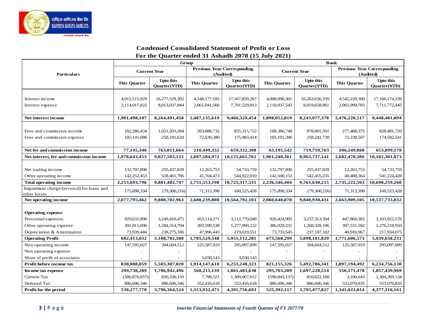

#### **Condensed Consolidated Statement of Profit or Loss For the Quarter ended 31 Ashadh 2078 (15 July 2021)**

|                                                            |                     | Group                                   |                     |                                                 | <b>Bank</b>         |                                         |                     |                                                 |
|------------------------------------------------------------|---------------------|-----------------------------------------|---------------------|-------------------------------------------------|---------------------|-----------------------------------------|---------------------|-------------------------------------------------|
| <b>Particulars</b>                                         |                     | <b>Current Year</b>                     |                     | <b>Previous Year Corresponding</b><br>(Audited) |                     | <b>Current Year</b>                     |                     | <b>Previous Year Corresponding</b><br>(Audited) |
|                                                            | <b>This Quarter</b> | <b>Upto this</b><br><b>Ouarter(YTD)</b> | <b>This Ouarter</b> | <b>Upto this</b><br><b>Ouarter(YTD)</b>         | <b>This Quarter</b> | <b>Upto this</b><br><b>Ouarter(YTD)</b> | <b>This Ouarter</b> | <b>Upto this</b><br>Quarter(YTD)                |
|                                                            |                     |                                         |                     |                                                 |                     |                                         |                     |                                                 |
| Interest income                                            | 4,015,515,929       | 16,277,529,302                          | 4,548,177,185       | 17,167,859,267                                  | 4,008,990,361       | 16,263,636,339                          | 4,542,220,300       | 17,160,174,339                                  |
| Interest expense                                           | 2,114,017,822       | 8,013,037,844                           | 2,061,041,566       | 7,701,529,813                                   | 2,110,937,542       | 8,019,658,961                           | 2,065,999,783       | 7,711,772,445                                   |
|                                                            |                     |                                         |                     |                                                 |                     |                                         |                     |                                                 |
| Net interest income                                        | 1,901,498,107       | 8,264,491,458                           | 2,487,135,619       | 9,466,329,454                                   | 1,898,052,819       | 8,243,977,378                           | 2,476,220,517       | 9,448,401,894                                   |
|                                                            |                     |                                         |                     |                                                 |                     |                                         |                     |                                                 |
| Fees and commission income                                 | 182,286,434         | 1,021,203,284                           | 283,088,732         | 835, 315, 722                                   | 168,386,748         | 978,001,501                             | 277,488,375         | 828,481,720                                     |
| Fees and commission expense                                | 105, 141, 088       | 258,191,620                             | 72,639,380          | 175,983,414                                     | 105, 191, 206       | 258, 241, 738                           | 71,238,507          | 174,582,541                                     |
|                                                            |                     |                                         |                     |                                                 |                     |                                         |                     |                                                 |
| Net fee and commission income                              | 77,145,346          | 763,011,664                             | 210,449,352         | 659,332,308                                     | 63,195,542          | 719,759,763                             | 206,249,868         | 653,899,179                                     |
| Net interest, fee and commission income                    | 1,978,643,453       | 9,027,503,122                           | 2,697,584,972       | 10,125,661,762                                  | 1,961,248,361       | 8,963,737,141                           | 2,682,470,386       | 10,102,301,073                                  |
|                                                            |                     |                                         |                     |                                                 |                     |                                         |                     |                                                 |
| Net trading income                                         | 132,797,890         | 255,437,839                             | 12,263,753          | 54,733,759                                      | 132,797,890         | 255,437,839                             | 12,263,753          | 54,733,759                                      |
| Other operating income                                     | 142,252,453         | 518,461,786                             | 41,704,473          | 544,922,010                                     | 142,500,153         | 542,455,235                             | 40,488,364          | 541,224,428                                     |
| <b>Total operating income</b>                              | 2,253,693,796       | 9,801,402,747                           | 2,751,553,198       | 10,725,317,531                                  | 2,236,546,404       | 9,761,630,215                           | 2,735,222,503       | 10,698,259,260                                  |
| Impairment charge/(reversal) for loans and<br>other losses | 175,898,334         | (79,300,216)                            | 71,313,398          | 160,525,428                                     | 175,898,334         | (79,300,216)                            | 71,313,398          | 160,525,428                                     |
| Net operating income                                       | 2,077,795,462       | 9,880,702,963                           | 2,680,239,800       | 10,564,792,103                                  | 2,060,648,070       | 9,840,930,431                           | 2,663,909,105       | 10,537,733,832                                  |
|                                                            |                     |                                         |                     |                                                 |                     |                                         |                     |                                                 |
| <b>Operating expense</b>                                   |                     |                                         |                     |                                                 |                     |                                         |                     |                                                 |
| Personnel expenses                                         | 929,631,890         | 3,249,410,475                           | 453,114,271         | 3,112,770,049                                   | 926,424,995         | 3,237,313,394                           | 447,860,383         | 3,103,922,576                                   |
| Other operating expense                                    | 391,811,096         | 1,284,314,794                           | 393,599,538         | 1,277,890,222                                   | 386,929,231         | 1,268,328,106                           | 397,531,182         | 1,276,218,950                                   |
| Depreciation & Amortization                                | 73,939,444          | 238,275,186                             | 47,996,443          | 219,019,551                                     | 73,733,545          | 237,187,102                             | 46,910,967          | 217,934,075                                     |
| <b>Operating Profit</b>                                    | 682,413,032         | 5,108,702,508                           | 1,785,529,548       | 5,955,112,281                                   | 673,560,299         | 5,098,101,829                           | 1,771,606,573       | 5,939,658,231                                   |
| Non operating income                                       | 147,595,027         | 394,604,512                             | 125,587,919         | 295,097,899                                     | 147,595,027         | 394,604,512                             | 125,587,919         | 295,097,899                                     |
| Non operating expense                                      |                     |                                         |                     |                                                 |                     |                                         |                     |                                                 |
| Share of profit of associates                              |                     |                                         | 3.030.143           | 3.030.143                                       |                     |                                         |                     |                                                 |
| Profit before income tax                                   | 830,008,059         | 5,503,307,020                           | 1,914,147,610       | 6,253,240,323                                   | 821,155,326         | 5,492,706,341                           | 1,897,194,492       | 6,234,756,130                                   |
| Income tax expense                                         | 299,730,289         | 1,706,942,496                           | 560,215,139         | 1,861,483,630                                   | 295,763,209         | 1,697,228,514                           | 556,171,478         | 1,857,439,969                                   |
| Current Tax                                                | (586, 876, 057)     | 820,336,150                             | 7,798,521           | 1,309,067,012                                   | (590, 843, 137)     | 810,622,168                             | 3,100,643           | 1,304,369,134                                   |
| Deferred Tax                                               | 886,606,346         | 886,606,346                             | 552,416,618         | 552,416,618                                     | 886,606,346         | 886,606,346                             | 553,070,835         | 553,070,835                                     |
| Profit for the period                                      | 530,277,770         | 3,796,364,524                           | 1,353,932,471       | 4,391,756,693                                   | 525,392,117         | 3,795,477,827                           | 1,341,023,014       | 4,377,316,161                                   |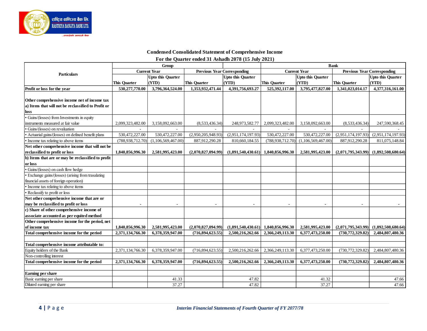

#### **Condensed Consolidated Statement of Comprehensive Income For the Quarter ended 31 Ashadh 2078 (15 July 2021)**

|                                                     |                     | Group                    |                                    |                          | <b>Bank</b>         |                          |                                    |                          |
|-----------------------------------------------------|---------------------|--------------------------|------------------------------------|--------------------------|---------------------|--------------------------|------------------------------------|--------------------------|
| Particulars                                         |                     | <b>Current Year</b>      | <b>Previous Year Corresponding</b> |                          |                     | <b>Current Year</b>      | <b>Previous Year Corresponding</b> |                          |
|                                                     |                     | <b>Upto this Quarter</b> |                                    | <b>Upto this Quarter</b> |                     | <b>Upto this Quarter</b> |                                    | <b>Upto this Quarter</b> |
|                                                     | <b>This Quarter</b> | (YTD)                    | This Quarter                       | (YTD)                    | <b>This Quarter</b> | (YTD)                    | This Quarter                       | (YTD)                    |
| Profit or loss for the year                         | 530,277,770.00      | 3,796,364,524.00         | 1,353,932,471.44                   | 4.391.756.693.27         | 525,392,117.00      | 3,795,477,827.00         | 1,341,023,014.17                   | 4,377,316,161.00         |
|                                                     |                     |                          |                                    |                          |                     |                          |                                    |                          |
| Other comprehensive income net of income tax        |                     |                          |                                    |                          |                     |                          |                                    |                          |
| a) Items that will not be reclassified to Profit or |                     |                          |                                    |                          |                     |                          |                                    |                          |
| loss                                                |                     |                          |                                    |                          |                     |                          |                                    |                          |
| · Gains/(losses) from Investments in equity         |                     |                          |                                    |                          |                     |                          |                                    |                          |
| instruments measured at fair value                  | 2.099.323.482.00    | 3,158,092,663.00         | (8,533,436,34)                     | 248,973,582.77           | 2,099,323,482.00    | 3.158.092.663.00         | (8,533,436,34)                     | 247,590,368.45           |
| • Gains/(losses) on revaluation                     |                     |                          |                                    |                          |                     |                          |                                    |                          |
| • Actuarial gains/(losses) on defined benefit plans | 530,472,227.00      | 530,472,227.00           | (2,950,205,948.93)                 | (2,951,174,197.93)       | 530,472,227.00      | 530,472,227.00           | (2,951,174,197.93)                 | (2,951,174,197.93)       |
| • Income tax relating to above items                | (788, 938, 712.70)  | (1,106,569,467.00)       | 887,912,290.28                     | 810,660,184.55           | (788, 938, 712, 70) | (1,106,569,467.00)       | 887,912,290.28                     | 811,075,148.84           |
| Net other comprehensive income that will not be     |                     |                          |                                    |                          |                     |                          |                                    |                          |
| reclassified to profit or loss                      | 1.840.856.996.30    | 2,581,995,423.00         | (2.070.827.094.99)                 | (1,891,540,430,61)       | 1,840,856,996.30    | 2.581.995.423.00         | (2,071,795,343.99)                 | (1.892.508.680.64)       |
| b) Items that are or may be reclassified to profit  |                     |                          |                                    |                          |                     |                          |                                    |                          |
| or loss                                             |                     |                          |                                    |                          |                     |                          |                                    |                          |
| · Gains/(losses) on cash flow hedge                 |                     |                          |                                    |                          |                     |                          |                                    |                          |
| · Exchange gains/(losses) (arising from trasalating |                     |                          |                                    |                          |                     |                          |                                    |                          |
| financial assets of foreign operation)              |                     |                          |                                    |                          |                     |                          |                                    |                          |
| • Income tax relating to above items                |                     |                          |                                    |                          |                     |                          |                                    |                          |
| • Reclassify to profit or loss                      |                     |                          |                                    |                          |                     |                          |                                    |                          |
| Net other comprehensive income that are or          |                     |                          |                                    |                          |                     |                          |                                    |                          |
| may be reclassified to profit or loss               |                     |                          |                                    |                          |                     |                          |                                    |                          |
| c) Share of other comprehensive income of           |                     |                          |                                    |                          |                     |                          |                                    |                          |
| associate accounted as per equited method           |                     |                          |                                    |                          |                     |                          |                                    |                          |
| Other comprehensive income for the period, net      |                     |                          |                                    |                          |                     |                          |                                    |                          |
| of income tax                                       | 1,840,856,996.30    | 2,581,995,423.00         | (2,070,827,094.99)                 | (1,891,540,430.61)       | 1,840,856,996.30    | 2,581,995,423.00         | (2,071,795,343.99)                 | (1,892,508,680.64)       |
| Total comprehensive income for the period           | 2,371,134,766.30    | 6.378.359.947.00         | (716,894,623.55)                   | 2.500.216.262.66         | 2.366.249.113.30    | 6,377,473,250.00         | (730, 772, 329.82)                 | 2,484,807,480.36         |
|                                                     |                     |                          |                                    |                          |                     |                          |                                    |                          |
| Total comprehensive income attributable to:         |                     |                          |                                    |                          |                     |                          |                                    |                          |
| Equity holders of the Bank                          | 2,371,134,766.30    | 6,378,359,947.00         | (716,894,623.55)                   | 2,500,216,262.66         | 2,366,249,113.30    | 6,377,473,250.00         | (730, 772, 329.82)                 | 2,484,807,480.36         |
| Non-controlling interest                            |                     |                          |                                    |                          |                     |                          |                                    |                          |
| Total comprehensive income for the period           | 2.371.134.766.30    | 6.378.359.947.00         | (716,894,623.55)                   | 2,500,216,262,66         | 2.366.249.113.30    | 6,377,473,250.00         | (730, 772, 329.82)                 | 2,484,807,480.36         |
| Earning per share                                   |                     |                          |                                    |                          |                     |                          |                                    |                          |
| Basic earning per share                             |                     | 41.33                    |                                    | 47.82                    |                     | 41.32                    |                                    | 47.66                    |
| Diluted earning per share                           |                     | 37.27                    |                                    | 47.82                    |                     | 37.27                    |                                    | 47.66                    |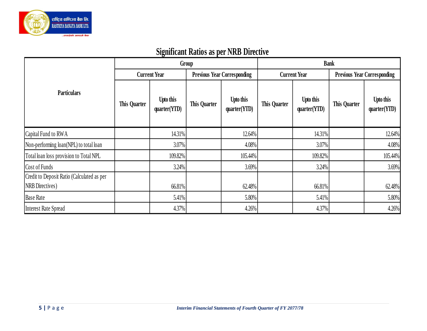

|                                                                      |                     | $\sigma$                         |                     |                                    |                     |                           |                     |                                    |  |
|----------------------------------------------------------------------|---------------------|----------------------------------|---------------------|------------------------------------|---------------------|---------------------------|---------------------|------------------------------------|--|
|                                                                      |                     | Group                            |                     |                                    | <b>Bank</b>         |                           |                     |                                    |  |
|                                                                      |                     | <b>Current Year</b>              |                     | <b>Previous Year Corresponding</b> |                     | <b>Current Year</b>       |                     | <b>Previous Year Corresponding</b> |  |
| <b>Particulars</b>                                                   | <b>This Quarter</b> | <b>Upto this</b><br>quarter(YTD) | <b>This Quarter</b> | <b>Upto this</b><br>quarter(YTD)   | <b>This Quarter</b> | Upto this<br>quarter(YTD) | <b>This Quarter</b> | Upto this<br>quarter(YTD)          |  |
| Capital Fund to RWA                                                  |                     | 14.31%                           |                     | 12.64%                             |                     | 14.31%                    |                     | 12.64%                             |  |
| Non-performing loan(NPL) to total loan                               |                     | 3.07%                            |                     | 4.08%                              |                     | 3.07%                     |                     | 4.08%                              |  |
| Total loan loss provision to Total NPL                               |                     | 109.82%                          |                     | 105.44%                            |                     | 109.82%                   |                     | 105.44%                            |  |
| Cost of Funds                                                        |                     | 3.24%                            |                     | 3.69%                              |                     | 3.24%                     |                     | 3.69%                              |  |
| Credit to Deposit Ratio (Calculated as per<br><b>NRB</b> Directives) |                     | 66.81%                           |                     | 62.48%                             |                     | 66.81%                    |                     | 62.48%                             |  |
| <b>Base Rate</b>                                                     |                     | 5.41%                            |                     | 5.80%                              |                     | 5.41%                     |                     | 5.80%                              |  |
| <b>Interest Rate Spread</b>                                          |                     | 4.37%                            |                     | 4.26%                              |                     | 4.37%                     |                     | 4.26%                              |  |

# **Significant Ratios as per NRB Directive**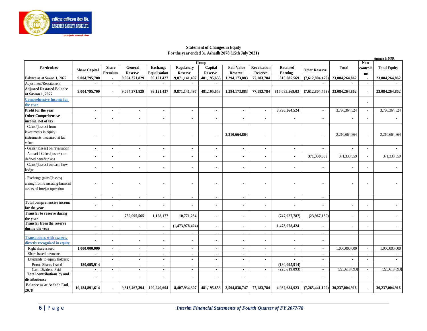

#### **Statement of Changes in Equity For the year ended 31 Ashadh 2078 (15th July 2021)**

|                                              |                          |                          |                                 |                            |                          |                          |                          |                              |                          |                      |                 |                       | <b>Amount in NPR</b> |
|----------------------------------------------|--------------------------|--------------------------|---------------------------------|----------------------------|--------------------------|--------------------------|--------------------------|------------------------------|--------------------------|----------------------|-----------------|-----------------------|----------------------|
|                                              |                          |                          |                                 |                            |                          | Group                    |                          |                              |                          |                      |                 | Non-                  |                      |
| <b>Particulars</b>                           | <b>Share Capital</b>     | <b>Share</b>             | General                         | <b>Exchange</b>            | <b>Regulatory</b>        | Capital                  | <b>Fair Value</b>        | <b>Revaluation</b>           | <b>Retained</b>          | <b>Other Reserve</b> | <b>Total</b>    | controlli             | <b>Total Equity</b>  |
| Balance as at Sawan 1, 2077                  | 9,004,795,700            | Premium                  | <b>Reserve</b><br>9,054,371,829 | Equalisation<br>99,121,427 | Reserve<br>9,871,141,497 | Reserve<br>481,195,653   | Reserve<br>1,294,173,883 | <b>Reserve</b><br>77,183,784 | Earning<br>815,085,569   | (7,612,804,479)      | 23,084,264,862  | n <sub>2</sub>        | 23,084,264,862       |
| Adjustment/Restatement                       |                          |                          |                                 |                            |                          |                          |                          |                              |                          |                      |                 |                       |                      |
| <b>Adjusted Restated Balance</b>             |                          |                          |                                 |                            |                          |                          |                          |                              |                          |                      |                 |                       |                      |
| at Sawan 1, 2077                             | 9,004,795,700            |                          | 9,054,371,829                   | 99,121,427                 | 9,871,141,497            | 481,195,653              | 1,294,173,883            | 77,183,784                   | 815,085,569.03           | (7,612,804,479)      | 23,084,264,862  |                       | 23,084,264,862       |
| <b>Comprehensive Income for</b>              |                          |                          |                                 |                            |                          |                          |                          |                              |                          |                      |                 |                       |                      |
| the year                                     |                          |                          |                                 |                            |                          |                          |                          |                              |                          |                      |                 |                       |                      |
| Profit for the year                          | $\sim$                   | $\sim$                   | $\blacksquare$                  | $\blacksquare$             | $\sim$                   | $\sim$                   | $\blacksquare$           | $\blacksquare$               | 3,796,364,524            | $\blacksquare$       | 3,796,364,524   | $\sim$                | 3,796,364,524        |
| <b>Other Comprehensive</b>                   | ÷                        |                          | $\blacksquare$                  | ä,                         | $\mathbf{r}$             | $\blacksquare$           | $\overline{\phantom{a}}$ | ٠                            | ÷                        | $\blacksquare$       |                 | $\blacksquare$        |                      |
| income, net of tax                           |                          |                          |                                 |                            |                          |                          |                          |                              |                          |                      |                 |                       |                      |
| Gains/(losses) from                          |                          |                          |                                 |                            |                          |                          |                          |                              |                          |                      |                 |                       |                      |
| investments in equity                        |                          |                          |                                 |                            |                          |                          | 2,210,664,864            |                              | ٠                        |                      | 2,210,664,864   | $\blacksquare$        | 2,210,664,864        |
| instruments measured at fair                 |                          |                          |                                 |                            |                          |                          |                          |                              |                          |                      |                 |                       |                      |
| value                                        |                          |                          |                                 |                            |                          |                          |                          |                              |                          |                      |                 |                       |                      |
| Gains/(losses) on revaluation                | $\sim$                   |                          | $\blacksquare$                  | $\blacksquare$             | $\sim$                   | $\blacksquare$           | $\blacksquare$           | $\blacksquare$               | $\sim$                   | $\blacksquare$       | $\sim$          | $\blacksquare$        |                      |
| Actuarial Gains/(losses) on                  | $\overline{\phantom{a}}$ |                          | $\blacksquare$                  | $\blacksquare$             | $\blacksquare$           | $\overline{\phantom{a}}$ | $\blacksquare$           | ٠                            | $\tilde{\phantom{a}}$    | 371,330,559          | 371,330,559     |                       | 371,330,559          |
| defined benefit plans                        |                          |                          |                                 |                            |                          |                          |                          |                              |                          |                      |                 |                       |                      |
| Gains/(losses) on cash flow                  | $\blacksquare$           |                          | $\blacksquare$                  | ä,                         | $\blacksquare$           | $\blacksquare$           | $\blacksquare$           | ×,                           | $\tilde{\phantom{a}}$    | $\blacksquare$       |                 | $\tilde{\phantom{a}}$ |                      |
| hedge                                        |                          |                          |                                 |                            |                          |                          |                          |                              |                          |                      |                 |                       |                      |
| Exchange gains/(losses)                      |                          |                          |                                 |                            |                          |                          |                          |                              |                          |                      |                 |                       |                      |
| arising from translating financial           |                          |                          |                                 |                            | $\blacksquare$           |                          |                          |                              | ÷                        |                      |                 |                       |                      |
| assets of foreign operation                  |                          |                          |                                 |                            |                          |                          |                          |                              |                          |                      |                 |                       |                      |
|                                              |                          |                          |                                 |                            |                          |                          |                          |                              |                          |                      |                 |                       |                      |
|                                              | $\sim$                   | $\sim$                   | $\blacksquare$                  | $\overline{\phantom{a}}$   | $\sim$                   | $\mathbf{r}$             | $\sim$                   | $\sim$                       | $\blacksquare$           | $\blacksquare$       |                 |                       |                      |
| <b>Total comprehensive income</b>            | $\mathbf{r}$             |                          | ä,                              |                            | $\overline{a}$           | ÷                        |                          | ÷.                           | ä,                       | $\blacksquare$       |                 |                       |                      |
| for the year                                 |                          |                          |                                 |                            |                          |                          |                          |                              |                          |                      |                 |                       |                      |
| <b>Transfer to reserve during</b>            | $\blacksquare$           | $\overline{\phantom{a}}$ | 759,095,565                     | 1,128,177                  | 10,771,234               | $\blacksquare$           |                          | $\tilde{\phantom{a}}$        | (747, 027, 787)          | (23,967,189)         |                 |                       |                      |
| the year<br><b>Transfer from the reserve</b> |                          |                          |                                 |                            |                          |                          |                          |                              |                          |                      |                 |                       |                      |
| during the year                              | $\mathbf{r}$             |                          | $\blacksquare$                  | ä,                         | (1,473,978,424)          | $\blacksquare$           | $\sim$                   | $\tilde{\phantom{a}}$        | 1,473,978,424            | $\blacksquare$       |                 | ٠                     |                      |
|                                              | $\blacksquare$           |                          | $\blacksquare$                  | $\blacksquare$             | $\sim$                   | $\blacksquare$           | $\sim$                   | $\blacksquare$               | $\blacksquare$           | $\blacksquare$       |                 |                       |                      |
| <b>Transactions with owners,</b>             |                          |                          |                                 |                            |                          |                          |                          |                              |                          |                      |                 |                       |                      |
| directly recognized in equity                | ÷                        |                          | ۰.                              | $\blacksquare$             | ٠                        | ٠                        | $\blacksquare$           | ٠                            | $\blacksquare$           | $\blacksquare$       |                 |                       |                      |
| Right share issued                           | 1,000,000,000            |                          | $\blacksquare$                  | $\blacksquare$             | $\blacksquare$           | $\overline{\phantom{a}}$ | $\blacksquare$           | ×                            | $\overline{\phantom{a}}$ | $\sim$               | 1,000,000,000   | $\mathbf{r}$          | 1,000,000,000        |
| Share based payments                         | $\sim$                   | $\sim$                   | $\sim$                          | $\mathbf{r}$               | $\sim$                   | $\sim$                   | $\sim$                   | $\sim$                       | $\sim$                   | $\blacksquare$       | $\sim$          | $\sim$                |                      |
| Dividends to equity holders:                 |                          |                          | $\blacksquare$                  | $\blacksquare$             | $\sim$                   | $\sim$                   | $\blacksquare$           | $\sim$                       |                          | $\blacksquare$       | $\sim$          | $\blacksquare$        |                      |
| <b>Bonus Shares</b> issued                   | 180,095,914              | $\blacksquare$           | $\blacksquare$                  | $\blacksquare$             | $\sim$                   | $\sim$                   | $\sim$                   | $\sim$                       | (180, 095, 914)          | $\mathbf{r}$         |                 | $\blacksquare$        |                      |
| Cash Dividend Paid                           | $\sim$                   | $\sim$                   | $\sim$                          | $\sim$                     | $\sim$                   | $\sim$                   | $\sim$                   | $\sim$                       | (225, 619, 893)          | $\sim$               | (225, 619, 893) | $\sim$                | (225.619.893)        |
| Total contributions by and                   | $\blacksquare$           |                          | ۰                               |                            | $\sim$                   | $\blacksquare$           | $\blacksquare$           | ×,                           |                          | $\blacksquare$       |                 | ٠                     |                      |
| distributions:                               |                          |                          |                                 |                            |                          |                          |                          |                              |                          |                      |                 |                       |                      |
| <b>Balance as at Ashadh End.</b><br>2078     | 10,184,891,614           |                          | 9,813,467,394                   | 100,249,604                | 8,407,934,307            | 481,195,653              | 3,504,838,747            | 77,183,784                   | 4,932,684,923            | (7,265,441,109)      | 30,237,004,916  |                       | 30,237,004,916       |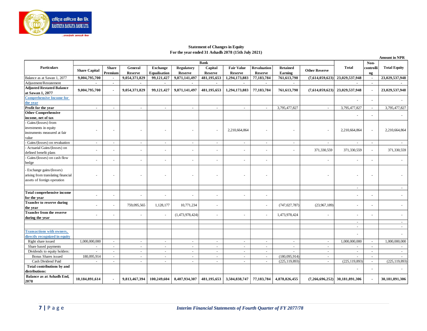

#### **Statement of Changes in Equity For the year ended 31 Ashadh 2078 (15th July 2021)**

|                                                               |                      |                          |                           |                                        |                                     |                           |                                     |                                      |                            |                      |                                  |                          | <b>Amount in NPR</b> |
|---------------------------------------------------------------|----------------------|--------------------------|---------------------------|----------------------------------------|-------------------------------------|---------------------------|-------------------------------------|--------------------------------------|----------------------------|----------------------|----------------------------------|--------------------------|----------------------|
|                                                               |                      |                          |                           |                                        |                                     | <b>Bank</b>               |                                     |                                      |                            |                      |                                  | Non-                     |                      |
| <b>Particulars</b>                                            | <b>Share Capital</b> | <b>Share</b><br>Premium  | General<br><b>Reserve</b> | <b>Exchange</b><br><b>Equalisation</b> | <b>Regulatory</b><br><b>Reserve</b> | Capital<br><b>Reserve</b> | <b>Fair Value</b><br><b>Reserve</b> | <b>Revaluation</b><br><b>Reserve</b> | <b>Retained</b><br>Earning | <b>Other Reserve</b> | <b>Total</b>                     | controlli<br>ng          | <b>Total Equity</b>  |
| Balance as at Sawan 1, 2077                                   | 9,004,795,700        | $\blacksquare$           | 9,054,371,829             | 99,121,427                             | 9,871,141,497                       | 481,195,653               | 1,294,173,883                       | 77,183,784                           | 761,613,798                |                      | $(7,614,059,623)$ 23,029,537,948 | $\blacksquare$           | 23,029,537,948       |
| Adjustment/Restatement                                        |                      | $\blacksquare$           |                           |                                        |                                     |                           |                                     | $\blacksquare$                       |                            |                      |                                  | $\blacksquare$           |                      |
| <b>Adjusted Restated Balance</b><br>at Sawan 1, 2077          | 9,004,795,700        | $\overline{\phantom{a}}$ | 9,054,371,829             | 99,121,427                             | 9,871,141,497                       | 481,195,653               | 1,294,173,883                       | 77,183,784                           | 761,613,798                |                      | $(7,614,059,623)$ 23,029,537,948 |                          | 23,029,537,948       |
| <b>Comprehensive Income for</b>                               |                      |                          |                           |                                        |                                     |                           |                                     |                                      |                            |                      |                                  |                          |                      |
| the year                                                      |                      |                          |                           |                                        |                                     |                           |                                     |                                      |                            |                      |                                  | $\blacksquare$           |                      |
| Profit for the year                                           | $\sim$               | $\sim$                   | $\sim$                    | $\overline{\phantom{a}}$               | ÷.                                  | ÷                         | $\omega$                            | $\sim$                               | 3,795,477,827              | $\sim$               | 3,795,477,827                    | $\blacksquare$           | 3,795,477,827        |
| <b>Other Comprehensive</b>                                    |                      |                          |                           |                                        |                                     |                           |                                     |                                      |                            |                      |                                  |                          |                      |
| income, net of tax                                            |                      |                          |                           |                                        |                                     |                           |                                     |                                      |                            |                      |                                  | $\overline{a}$           |                      |
| - Gains/(losses) from                                         |                      |                          |                           |                                        |                                     |                           |                                     |                                      |                            |                      |                                  |                          |                      |
| investments in equity                                         |                      |                          |                           |                                        |                                     |                           |                                     |                                      |                            |                      |                                  |                          |                      |
| instruments measured at fair                                  | ٠                    |                          |                           |                                        |                                     |                           | 2,210,664,864                       |                                      |                            |                      | 2,210,664,864                    | $\blacksquare$           | 2,210,664,864        |
| value                                                         |                      |                          |                           |                                        |                                     |                           |                                     |                                      |                            |                      |                                  |                          |                      |
| Gains/(losses) on revaluation                                 | $\sim$               |                          |                           |                                        | ÷.                                  | $\sim$                    | $\sim$                              | ÷                                    | $\sim$                     | $\sim$               | $\sim$                           | $\blacksquare$           |                      |
| - Actuarial Gains/(losses) on                                 |                      |                          |                           |                                        |                                     |                           |                                     |                                      |                            |                      |                                  |                          |                      |
| defined benefit plans                                         | $\sim$               |                          |                           |                                        |                                     |                           | $\overline{a}$                      |                                      |                            | 371,330,559          | 371,330,559                      | $\overline{\phantom{a}}$ | 371,330,559          |
| - Gains/(losses) on cash flow                                 |                      |                          |                           |                                        |                                     |                           |                                     |                                      |                            |                      |                                  |                          |                      |
| hedge                                                         | ÷.                   |                          |                           |                                        |                                     |                           | $\overline{\phantom{a}}$            | ۰.                                   |                            | $\sim$               |                                  | $\blacksquare$           |                      |
| Exchange gains/(losses)<br>arising from translating financial |                      |                          |                           |                                        |                                     |                           |                                     |                                      |                            |                      |                                  |                          |                      |
| assets of foreign operation                                   |                      |                          |                           |                                        |                                     |                           |                                     |                                      |                            |                      |                                  |                          |                      |
|                                                               |                      |                          |                           |                                        |                                     |                           |                                     |                                      |                            |                      | $\sim$                           |                          | $\sim$               |
| Total comprehensive income<br>for the year                    | $\sim$               |                          |                           |                                        |                                     |                           |                                     | $\sim$                               |                            |                      |                                  |                          |                      |
| Transfer to reserve during<br>the year                        | ÷.                   |                          | 759,095,565               | 1,128,177                              | 10,771,234                          |                           |                                     |                                      | (747, 027, 787)            | (23,967,189)         |                                  |                          |                      |
| <b>Transfer from the reserve</b>                              |                      |                          |                           |                                        |                                     |                           |                                     |                                      |                            |                      |                                  |                          |                      |
| during the year                                               | ÷.                   |                          |                           |                                        | (1,473,978,424)                     |                           | $\overline{a}$                      | $\sim$                               | 1,473,978,424              | $\overline{a}$       |                                  |                          |                      |
|                                                               |                      |                          |                           |                                        |                                     |                           |                                     |                                      |                            |                      | $\sim$<br>$\sim$                 |                          |                      |
| <b>Transactions with owners,</b>                              |                      |                          |                           |                                        |                                     |                           |                                     |                                      |                            |                      |                                  |                          |                      |
| directly recognized in equity                                 |                      |                          |                           |                                        |                                     |                           |                                     |                                      |                            |                      |                                  |                          | 1,000,000,000        |
| Right share issued                                            | 1,000,000,000        | $\overline{\phantom{a}}$ | $\sim$                    | $\overline{\phantom{a}}$               | $\blacksquare$                      | $\sim$                    | $\sim$                              | $\sim$                               | $\overline{\phantom{a}}$   | $\sim$               | 1,000,000,000                    | $\blacksquare$           |                      |
| Share based payments                                          | $\sim$               | $\sim$                   | $\sim$                    |                                        | $\sim$                              | $\sim$                    | $\sim$                              | $\sim$                               | $\sim$                     | $\sim$               | $\sim$                           | $\overline{a}$           |                      |
| Dividends to equity holders:                                  | $\sim$               | $\sim$                   | $\sim$                    | $\sim$                                 | $\sim$                              | $\sim$                    | $\omega$                            | $\sim$                               | $\sim$                     | $\sim$               | $\sim$                           | $\blacksquare$           | $\sim$               |
| Bonus Shares issued                                           | 180,095,914          | $\sim$                   | $\sim$                    | $\overline{a}$                         | $\sim$                              | $\sim$                    | $\sim$                              | $\sim$                               | (180,095,914)              | $\sim$               | $\sim$                           | $\blacksquare$           |                      |
| Cash Dividend Paid<br>Total contributions by and              | $\sim$               | $\sim$                   | $\sim$                    | $\sim$                                 | $\sim$                              | $\sim$                    | $\sim$                              | $\sim$                               | (225, 119, 893)            | $\sim$               | (225, 119, 893)                  | $\blacksquare$           | (225, 119, 893)      |
| distributions:                                                |                      |                          |                           |                                        |                                     |                           |                                     |                                      |                            |                      |                                  |                          |                      |
| Balance as at Ashadh End,                                     |                      |                          |                           |                                        |                                     |                           |                                     |                                      |                            |                      |                                  |                          |                      |
| 2078                                                          | 10,184,891,614       | $\blacksquare$           | 9,813,467,394             | 100,249,604                            | 8,407,934,307                       | 481,195,653               | 3,504,838,747                       | 77,183,784                           | 4,878,826,455              | (7,266,696,252)      | 30,181,891,306                   |                          | 30,181,891,306       |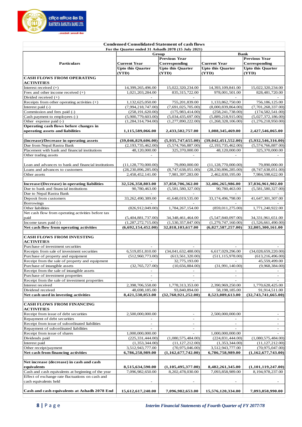

|                                                                  | <b>Condensed Consolidated Statement of cash flows</b> |                                   |                                     |                                   |  |  |
|------------------------------------------------------------------|-------------------------------------------------------|-----------------------------------|-------------------------------------|-----------------------------------|--|--|
|                                                                  | For the Quarter ended 31 Ashadh 2078 (15 July 2021)   |                                   |                                     |                                   |  |  |
|                                                                  |                                                       | Group<br><b>Previous Year</b>     | <b>Bank</b><br><b>Previous Year</b> |                                   |  |  |
| <b>Particulars</b>                                               | <b>Current Year</b>                                   | Corresponding                     | <b>Current Year</b>                 | Corresponding                     |  |  |
|                                                                  | <b>Upto this Quarter</b>                              | <b>Upto this Quarter</b>          | <b>Upto this Quarter</b>            | <b>Upto this Quarter</b>          |  |  |
|                                                                  | (YTD)                                                 | (YTD)                             | (YTD)                               | (YTD)                             |  |  |
| <b>CASH FLOWS FROM OPERATING</b>                                 |                                                       |                                   |                                     |                                   |  |  |
| <b>ACTIVITIES</b>                                                |                                                       |                                   |                                     |                                   |  |  |
| Interest received $(+)$                                          | 14,399,265,496.00                                     | 15,022,320,234.00                 | 14,393,109,841.00                   | 15,022,320,234.00                 |  |  |
| Fees and other income received $(+)$                             | 1,021,203,284.00                                      | 835, 315, 722.00                  | 978,001,501.00                      | 828,481,720.00                    |  |  |
| Divided received $(+)$                                           |                                                       |                                   |                                     |                                   |  |  |
| Receipts from other operating activities (+)                     | 1,132,625,050.00                                      | 755,201,839.00                    | 1,133,862,750.00                    | 756,186,125.00                    |  |  |
| Interest paid (-)                                                | (7,994,218,747.00)                                    | (7,691,025,705.00)                | (8,000,839,864.00)                  | (7,701,268,337.00)                |  |  |
| Commission and fees paid (-)                                     | (258, 191, 620.00)                                    | (175, 983, 414.00)                | (258, 241, 738.00)                  | (174, 582, 541.00)                |  |  |
| Cash payment to employees (-)                                    | (5,900,779,603.00)                                    | (5,034,435,697.00)                | (5,889,218,915.00)                  | (5,027,372,186.00)                |  |  |
| Other expense paid (-)<br>Operating cash flows before changes in | (1,284,314,794.00)                                    | (1,277,890,222.00)                | (1,268,328,106.00)                  | $\overline{(1,276,218,950.00)}$   |  |  |
| operating assets and liabilities                                 | 1,115,589,066.00                                      | 2,433,502,757.00                  | 1,088,345,469.00                    | 2,427,546,065.00                  |  |  |
|                                                                  |                                                       |                                   |                                     |                                   |  |  |
| (Increase)/Decrease in operating assets                          | (39,046,829,606.00)                                   | (5,935,747,655.00)                | (39,042,451,552.00)                 | (5,932,546,316.00)                |  |  |
| Due from Nepal Rastra Bank                                       | (2, 193, 735, 462.00)                                 | (5,574,766,887.00)                | (2,193,735,462.00)                  | (5,574,766,887.00)                |  |  |
| Placement with bank and financial institutions                   | 48,120,000.00                                         | 325,370,000.00                    | 48,120,000.00                       | 325,370,000.00                    |  |  |
| Other trading assets                                             |                                                       |                                   |                                     |                                   |  |  |
|                                                                  |                                                       |                                   |                                     |                                   |  |  |
| Loan and advances to bank and financial institutions             | (11, 128, 770, 000.00)                                | 79,890,000.00                     | (11, 128, 770, 000.00)              | 79,890,000.00                     |  |  |
| Loans and advances to customers                                  | (28, 230, 896, 285.00)                                | (8,747,638,051.00)                | (28, 230, 896, 285.00)              | (8,747,638,051.00)                |  |  |
| Other assets                                                     | 2,458,452,141.00                                      | 7,981,397,283.00                  | 2,462,830,195.00                    | 7,984,598,622.00                  |  |  |
|                                                                  |                                                       |                                   |                                     |                                   |  |  |
| Increase/(Decrease) in operating liabilities                     | 32,526,358,803.00                                     | 37,850,706,362.00                 | 32,406,265,986.00                   | 37,836,961,902.00                 |  |  |
| Due to bank and financial institutions                           | 90,780,463.00                                         | (5,581,580,327.00)                | 90,780,463.00                       | (5,581,580,327.00)                |  |  |
| Due to Nepal Rastra Bank                                         |                                                       |                                   |                                     |                                   |  |  |
| Deposit from customers                                           | 33,262,490,389.00                                     | 41,648,019,535.00                 | 33,174,496,798.00                   | 41,647,301,307.00                 |  |  |
| Borrowings                                                       |                                                       |                                   |                                     |                                   |  |  |
| Other liabilities                                                | (826, 912, 049.00)                                    | 1,784,267,154.00                  | (859, 011, 275.00)                  | 1,771,240,922.00                  |  |  |
| Net cash flow from operating activities before tax<br>paid       | (5,404,881,737.00)                                    | 34, 348, 461, 464. 00             | (5,547,840,097.00)                  | 34,331,961,651.00                 |  |  |
| Income taxes paid (-)                                            | (1,287,272,715.00)                                    | (1,530,357,847.00)                | (1,279,747,160.00)                  | (1,526,661,490.00)                |  |  |
| Net cash flow from operating activities                          | (6,692,154,452.00)                                    | 32,818,103,617.00                 | (6,827,587,257.00)                  | 32,805,300,161.00                 |  |  |
|                                                                  |                                                       |                                   |                                     |                                   |  |  |
| <b>CASH FLOWS FROM INVESTING</b>                                 |                                                       |                                   |                                     |                                   |  |  |
| <b>ACTIVITIES</b>                                                |                                                       |                                   |                                     |                                   |  |  |
| Purchase of investment securities                                |                                                       |                                   |                                     |                                   |  |  |
| Receipts from sale of investment securities                      | 6,519,851,810.00                                      | (34,041,632,488.00)               | 6,617,029,296.00                    | (34,028,659,220.00)               |  |  |
| Purchase of property and equipment                               | (512,960,773.00)                                      | (613, 561, 320.00)                | (511, 115, 978.00)                  | (613, 216, 496.00)                |  |  |
| Receipt from the sale of property and equipment                  |                                                       | 32,775,193.00                     |                                     | 45,559,499.00                     |  |  |
| Purchase of intangible assets                                    | (32,765,727.00)                                       | (10, 656, 884.00)                 | (31, 991, 140.00)                   | (9,968,384.00)                    |  |  |
| Receipt from the sale of intangible assets                       |                                                       |                                   |                                     |                                   |  |  |
| Purchase of investment properties                                | $\overline{\phantom{a}}$                              | $\overline{\phantom{a}}$          | $\overline{\phantom{a}}$            | $\overline{\phantom{a}}$          |  |  |
| Receipt from the sale of investment properties                   | 2,398,706,558.00                                      |                                   |                                     |                                   |  |  |
| Interest received<br>Dividend received                           | 48,698,185.00                                         | 1,778,313,353.00<br>93,840,894.00 | 2,390,969,250.00<br>58,198,185.00   | 1,770,628,425.00<br>91,914,511.00 |  |  |
| Net cash used in investing activities                            | 8,421,530,053.00                                      | (32,760,921,252.00)               | 8,523,089,613.00                    | (32,743,741,665.00)               |  |  |
|                                                                  |                                                       |                                   |                                     |                                   |  |  |
| <b>CASH FLOWS FROM FINANCING</b>                                 |                                                       |                                   |                                     |                                   |  |  |
| <b>ACTIVITIES</b>                                                |                                                       |                                   |                                     |                                   |  |  |
| Receipt from issue of debt securities                            | 2,500,000,000.00                                      | $\overline{\phantom{a}}$          | 2,500,000,000.00                    | $\overline{\phantom{a}}$          |  |  |
| Repayment of debt securities                                     |                                                       | $\blacksquare$                    |                                     | $\overline{\phantom{a}}$          |  |  |
| Receipt from issue of subordinated liabilities                   | $\overline{\phantom{a}}$                              | $\overline{\phantom{a}}$          | $\overline{\phantom{a}}$            | $\overline{\phantom{a}}$          |  |  |
| Repayment of subordinated liabilities                            |                                                       |                                   |                                     |                                   |  |  |
| Receipt from issue of shares                                     | 1,000,000,000.00                                      | $\bar{ }$                         | 1,000,000,000.00                    |                                   |  |  |
| Dividends paid                                                   | (225, 331, 444.00)                                    | (1,080,575,484.00)                | (224, 831, 444.00)                  | (1,080,575,484.00)                |  |  |
| Interest paid                                                    | (1,353,344.00)                                        | (11, 127, 212.00)                 | (1,353,344.00)                      | (11, 127, 212.00)                 |  |  |
| Other receipt/payment                                            | 3,512,943,777.00                                      | (70, 975, 046.00)                 | 3,512,943,777.00                    | (70, 975, 047.00)                 |  |  |
| Net cash from financing activities                               | 6,786,258,989.00                                      | (1,162,677,742.00)                | 6,786,758,989.00                    | (1,162,677,743.00)                |  |  |
|                                                                  |                                                       |                                   |                                     |                                   |  |  |
| Net increase (decrease) in cash and cash<br>equivalents          | 8,515,634,590.00                                      | (1,105,495,377.00)                | 8,482,261,345.00                    | (1,101,119,247.00)                |  |  |
| Cash and cash equivalents at beginning of the year               | 7,096,982,650.00                                      | 8,202,478,030.00                  | 7,093,858,989.00                    | 8,194,978,237.00                  |  |  |
| Effect of exchange rate fluctuations on cash and                 |                                                       |                                   |                                     |                                   |  |  |
| cash equivalents held                                            |                                                       |                                   |                                     |                                   |  |  |
|                                                                  |                                                       |                                   |                                     |                                   |  |  |
| Cash and cash equivalents at Ashadh 2078 End                     | 15,612,617,240.00                                     | 7,096,982,653.00                  | 15,576,120,334.00                   | 7,093,858,990.00                  |  |  |
|                                                                  |                                                       |                                   |                                     |                                   |  |  |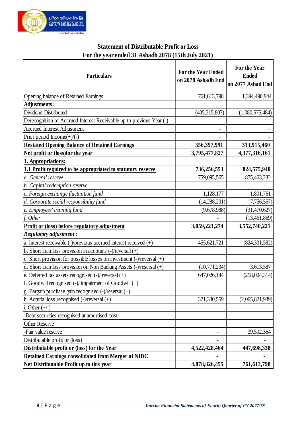

## **Statement of Distributable Profit or Loss For the year ended 31 Ashadh 2078 (15th July 2021)**

| <b>Particulars</b>                                                                                              | <b>For the Year Ended</b><br>on 2078 Ashadh End | For the Year<br><b>Ended</b><br>on 2077 Ashad End |
|-----------------------------------------------------------------------------------------------------------------|-------------------------------------------------|---------------------------------------------------|
| Opening balance of Retained Earnings                                                                            | 761, 613, 798                                   | 1,394,490,944                                     |
| <b>Adjustments:</b>                                                                                             |                                                 |                                                   |
| Dividend Distributed                                                                                            | (405, 215, 807)                                 | (1,080,575,484)                                   |
| Derecognition of Accrued Interest Receivable up to previous Year (-)                                            |                                                 |                                                   |
| <b>Accrued Interest Adjustment</b>                                                                              |                                                 |                                                   |
| Prior period Income $(+)/(-)$                                                                                   |                                                 |                                                   |
| <b>Restated Opening Balance of Retained Earnings</b>                                                            | 356, 397, 991                                   | 313,915,460                                       |
| Net profit or (loss) for the year                                                                               | 3,795,477,827                                   | 4,377,316,161                                     |
| 1. Appropriations:                                                                                              |                                                 |                                                   |
| 1.1 Profit required to be appropriated to statutory reserve                                                     | 736,256,553                                     | 824,575,940                                       |
| a. General reserve                                                                                              | 759,095,565                                     | 875,463,232                                       |
| b. Capital redemption reserve                                                                                   |                                                 |                                                   |
| $ c$ . Foreign exchange fluctuation fund                                                                        | 1,128,177                                       | 1,801,761                                         |
| d. Corporate social responsibility fund                                                                         | (14, 288, 201)                                  | (7, 756, 557)                                     |
| e. Employees' training fund                                                                                     | (9,678,988)                                     | (31, 470, 627)                                    |
| $f.$ Other                                                                                                      |                                                 | (13, 461, 869)                                    |
| Profit or (loss) before regulatory adjustment                                                                   | 3,059,221,274                                   | 3,552,740,221                                     |
| Regulatory adjustment :                                                                                         |                                                 |                                                   |
| a. Interest receivable $\left(\frac{-}{r}\right)$ previous accrued interest received $\left(\frac{+}{r}\right)$ | 455,621,721                                     | (824, 331, 582)                                   |
| b. Short loan loss provision in accounts $(\text{-})$ /reversal $(\text{+})$                                    |                                                 |                                                   |
| c. Short provision for possible losses on investment $(\text{-})$ /reversal $(\text{+})$                        |                                                 |                                                   |
| d. Short loan loss provision on Non Banking Assets $(\text{-})$ /resersal $(\text{+})$                          | (10, 771, 234)                                  | 3,613,587                                         |
| e. Deferred tax assets recognised $(\text{-})$ reversal $(\text{+})$                                            | 647,026,144                                     | (258,004,314)                                     |
| f. Goodwill recognised $\left(\text{-}\right)$ impairment of Goodwill $\left(\text{+}\right)$                   |                                                 |                                                   |
| g. Bargain purchase gain recognised $(\text{-})$ /resersal $(\text{+})$                                         |                                                 |                                                   |
| h. Acturial loss recognised $(-)/\text{reversal}(+)$                                                            | 371,330,559                                     | (2,065,821,939)                                   |
| i. Other $(+/-)$                                                                                                |                                                 |                                                   |
| -Debt securities recognised at amortised cost                                                                   |                                                 |                                                   |
| <b>Other Reserve</b>                                                                                            |                                                 |                                                   |
| -Fair value reserve                                                                                             |                                                 | 39,502,364                                        |
| Distributable profit or (loss)                                                                                  |                                                 |                                                   |
| Distributable profit or (loss) for the Year                                                                     | 4,522,428,464                                   | 447,698,338                                       |
| Retained Earnings consolidated from Merger of NIDC                                                              |                                                 |                                                   |
| Net Distributable Profit up to this year                                                                        | 4,878,826,455                                   | 761,613,798                                       |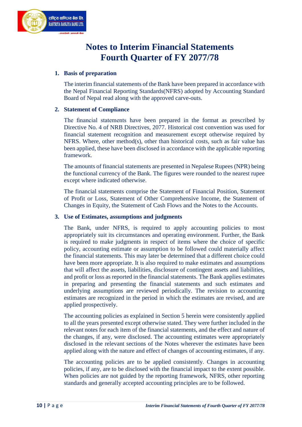

## **Notes to Interim Financial Statements Fourth Quarter of FY 2077/78**

#### **1. Basis of preparation**

The interim financial statements of the Bank have been prepared in accordance with the Nepal Financial Reporting Standards(NFRS) adopted by Accounting Standard Board of Nepal read along with the approved carve-outs.

#### **2. Statement of Compliance**

The financial statements have been prepared in the format as prescribed by Directive No. 4 of NRB Directives, 2077. Historical cost convention was used for financial statement recognition and measurement except otherwise required by NFRS. Where, other method(s), other than historical costs, such as fair value has been applied, these have been disclosed in accordance with the applicable reporting framework.

The amounts of financial statements are presented in Nepalese Rupees (NPR) being the functional currency of the Bank. The figures were rounded to the nearest rupee except where indicated otherwise.

The financial statements comprise the Statement of Financial Position, Statement of Profit or Loss, Statement of Other Comprehensive Income, the Statement of Changes in Equity, the Statement of Cash Flows and the Notes to the Accounts.

#### **3. Use of Estimates, assumptions and judgments**

The Bank, under NFRS, is required to apply accounting policies to most appropriately suit its circumstances and operating environment. Further, the Bank is required to make judgments in respect of items where the choice of specific policy, accounting estimate or assumption to be followed could materially affect the financial statements. This may later be determined that a different choice could have been more appropriate. It is also required to make estimates and assumptions that will affect the assets, liabilities, disclosure of contingent assets and liabilities, and profit or loss as reported in the financial statements. The Bank applies estimates in preparing and presenting the financial statements and such estimates and underlying assumptions are reviewed periodically. The revision to accounting estimates are recognized in the period in which the estimates are revised, and are applied prospectively.

The accounting policies as explained in Section 5 herein were consistently applied to all the years presented except otherwise stated. They were further included in the relevant notes for each item of the financial statements, and the effect and nature of the changes, if any, were disclosed. The accounting estimates were appropriately disclosed in the relevant sections of the Notes wherever the estimates have been applied along with the nature and effect of changes of accounting estimates, if any.

The accounting policies are to be applied consistently. Changes in accounting policies, if any, are to be disclosed with the financial impact to the extent possible. When policies are not guided by the reporting framework, NFRS, other reporting standards and generally accepted accounting principles are to be followed.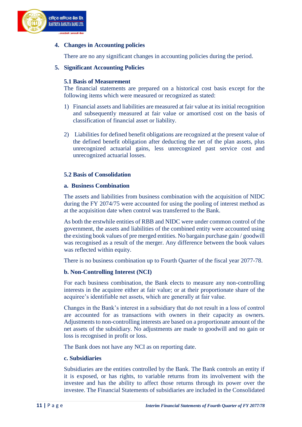

#### **4. Changes in Accounting policies**

There are no any significant changes in accounting policies during the period.

#### **5. Significant Accounting Policies**

#### **5.1 Basis of Measurement**

The financial statements are prepared on a historical cost basis except for the following items which were measured or recognized as stated:

- 1) Financial assets and liabilities are measured at fair value at its initial recognition and subsequently measured at fair value or amortised cost on the basis of classification of financial asset or liability.
- 2) Liabilities for defined benefit obligations are recognized at the present value of the defined benefit obligation after deducting the net of the plan assets, plus unrecognized actuarial gains, less unrecognized past service cost and unrecognized actuarial losses.

#### **5.2 Basis of Consolidation**

#### **a. Business Combination**

The assets and liabilities from business combination with the acquisition of NIDC during the FY 2074/75 were accounted for using the pooling of interest method as at the acquisition date when control was transferred to the Bank.

As both the erstwhile entities of RBB and NIDC were under common control of the government, the assets and liabilities of the combined entity were accounted using the existing book values of pre merged entities. No bargain purchase gain / goodwill was recognised as a result of the merger. Any difference between the book values was reflected within equity.

There is no business combination up to Fourth Quarter of the fiscal year 2077-78.

#### **b. Non-Controlling Interest (NCI)**

For each business combination, the Bank elects to measure any non-controlling interests in the acquiree either at fair value; or at their proportionate share of the acquiree's identifiable net assets, which are generally at fair value.

Changes in the Bank's interest in a subsidiary that do not result in a loss of control are accounted for as transactions with owners in their capacity as owners. Adjustments to non-controlling interests are based on a proportionate amount of the net assets of the subsidiary. No adjustments are made to goodwill and no gain or loss is recognised in profit or loss.

The Bank does not have any NCI as on reporting date.

#### **c. Subsidiaries**

Subsidiaries are the entities controlled by the Bank. The Bank controls an entity if it is exposed, or has rights, to variable returns from its involvement with the investee and has the ability to affect those returns through its power over the investee. The Financial Statements of subsidiaries are included in the Consolidated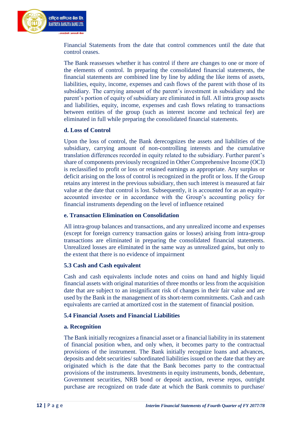

Financial Statements from the date that control commences until the date that control ceases.

The Bank reassesses whether it has control if there are changes to one or more of the elements of control. In preparing the consolidated financial statements, the financial statements are combined line by line by adding the like items of assets, liabilities, equity, income, expenses and cash flows of the parent with those of its subsidiary. The carrying amount of the parent's investment in subsidiary and the parent's portion of equity of subsidiary are eliminated in full. All intra group assets and liabilities, equity, income, expenses and cash flows relating to transactions between entities of the group (such as interest income and technical fee) are eliminated in full while preparing the consolidated financial statements.

#### **d. Loss of Control**

Upon the loss of control, the Bank derecognizes the assets and liabilities of the subsidiary, carrying amount of non-controlling interests and the cumulative translation differences recorded in equity related to the subsidiary. Further parent's share of components previously recognized in Other Comprehensive Income (OCI) is reclassified to profit or loss or retained earnings as appropriate. Any surplus or deficit arising on the loss of control is recognized in the profit or loss. If the Group retains any interest in the previous subsidiary, then such interest is measured at fair value at the date that control is lost. Subsequently, it is accounted for as an equityaccounted investee or in accordance with the Group's accounting policy for financial instruments depending on the level of influence retained

#### **e. Transaction Elimination on Consolidation**

All intra-group balances and transactions, and any unrealized income and expenses (except for foreign currency transaction gains or losses) arising from intra-group transactions are eliminated in preparing the consolidated financial statements. Unrealized losses are eliminated in the same way as unrealized gains, but only to the extent that there is no evidence of impairment

#### **5.3 Cash and Cash equivalent**

Cash and cash equivalents include notes and coins on hand and highly liquid financial assets with original maturities of three months or less from the acquisition date that are subject to an insignificant risk of changes in their fair value and are used by the Bank in the management of its short-term commitments. Cash and cash equivalents are carried at amortized cost in the statement of financial position.

#### **5.4 Financial Assets and Financial Liabilities**

#### **a. Recognition**

The Bank initially recognizes a financial asset or a financial liability in its statement of financial position when, and only when, it becomes party to the contractual provisions of the instrument. The Bank initially recognize loans and advances, deposits and debt securities/ subordinated liabilities issued on the date that they are originated which is the date that the Bank becomes party to the contractual provisions of the instruments. Investments in equity instruments, bonds, debenture, Government securities, NRB bond or deposit auction, reverse repos, outright purchase are recognized on trade date at which the Bank commits to purchase/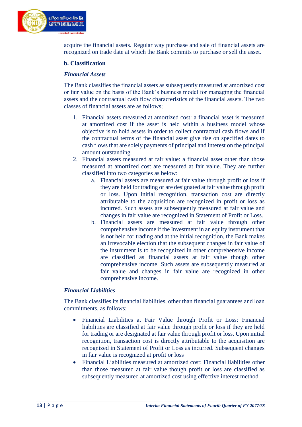

acquire the financial assets. Regular way purchase and sale of financial assets are recognized on trade date at which the Bank commits to purchase or sell the asset.

#### **b. Classification**

#### *Financial Assets*

The Bank classifies the financial assets as subsequently measured at amortized cost or fair value on the basis of the Bank's business model for managing the financial assets and the contractual cash flow characteristics of the financial assets. The two classes of financial assets are as follows;

- 1. Financial assets measured at amortized cost: a financial asset is measured at amortized cost if the asset is held within a business model whose objective is to hold assets in order to collect contractual cash flows and if the contractual terms of the financial asset give rise on specified dates to cash flows that are solely payments of principal and interest on the principal amount outstanding.
- 2. Financial assets measured at fair value: a financial asset other than those measured at amortized cost are measured at fair value. They are further classified into two categories as below:
	- a. Financial assets are measured at fair value through profit or loss if they are held for trading or are designated at fair value through profit or loss. Upon initial recognition, transaction cost are directly attributable to the acquisition are recognized in profit or loss as incurred. Such assets are subsequently measured at fair value and changes in fair value are recognized in Statement of Profit or Loss.
	- b. Financial assets are measured at fair value through other comprehensive income if the Investment in an equity instrument that is not held for trading and at the initial recognition, the Bank makes an irrevocable election that the subsequent changes in fair value of the instrument is to be recognized in other comprehensive income are classified as financial assets at fair value though other comprehensive income. Such assets are subsequently measured at fair value and changes in fair value are recognized in other comprehensive income.

#### *Financial Liabilities*

The Bank classifies its financial liabilities, other than financial guarantees and loan commitments, as follows:

- Financial Liabilities at Fair Value through Profit or Loss: Financial liabilities are classified at fair value through profit or loss if they are held for trading or are designated at fair value through profit or loss. Upon initial recognition, transaction cost is directly attributable to the acquisition are recognized in Statement of Profit or Loss as incurred. Subsequent changes in fair value is recognized at profit or loss
- Financial Liabilities measured at amortized cost: Financial liabilities other than those measured at fair value though profit or loss are classified as subsequently measured at amortized cost using effective interest method.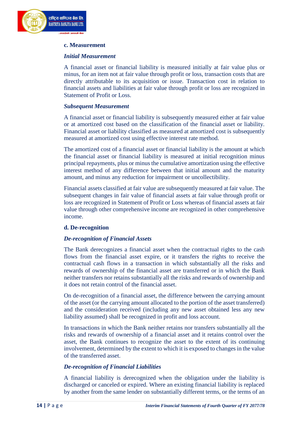

#### **c. Measurement**

#### *Initial Measurement*

A financial asset or financial liability is measured initially at fair value plus or minus, for an item not at fair value through profit or loss, transaction costs that are directly attributable to its acquisition or issue. Transaction cost in relation to financial assets and liabilities at fair value through profit or loss are recognized in Statement of Profit or Loss.

#### *Subsequent Measurement*

A financial asset or financial liability is subsequently measured either at fair value or at amortized cost based on the classification of the financial asset or liability. Financial asset or liability classified as measured at amortized cost is subsequently measured at amortized cost using effective interest rate method.

The amortized cost of a financial asset or financial liability is the amount at which the financial asset or financial liability is measured at initial recognition minus principal repayments, plus or minus the cumulative amortization using the effective interest method of any difference between that initial amount and the maturity amount, and minus any reduction for impairment or uncollectibility.

Financial assets classified at fair value are subsequently measured at fair value. The subsequent changes in fair value of financial assets at fair value through profit or loss are recognized in Statement of Profit or Loss whereas of financial assets at fair value through other comprehensive income are recognized in other comprehensive income.

#### **d. De-recognition**

#### *De-recognition of Financial Assets*

The Bank derecognizes a financial asset when the contractual rights to the cash flows from the financial asset expire, or it transfers the rights to receive the contractual cash flows in a transaction in which substantially all the risks and rewards of ownership of the financial asset are transferred or in which the Bank neither transfers nor retains substantially all the risks and rewards of ownership and it does not retain control of the financial asset.

On de-recognition of a financial asset, the difference between the carrying amount of the asset (or the carrying amount allocated to the portion of the asset transferred) and the consideration received (including any new asset obtained less any new liability assumed) shall be recognized in profit and loss account.

In transactions in which the Bank neither retains nor transfers substantially all the risks and rewards of ownership of a financial asset and it retains control over the asset, the Bank continues to recognize the asset to the extent of its continuing involvement, determined by the extent to which it is exposed to changes in the value of the transferred asset.

#### *De-recognition of Financial Liabilities*

A financial liability is derecognized when the obligation under the liability is discharged or canceled or expired. Where an existing financial liability is replaced by another from the same lender on substantially different terms, or the terms of an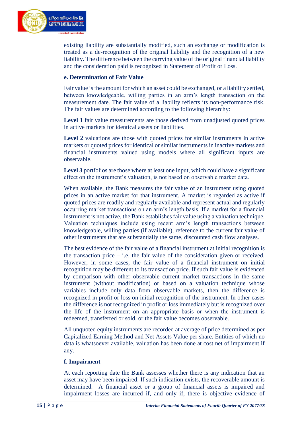

existing liability are substantially modified, such an exchange or modification is treated as a de-recognition of the original liability and the recognition of a new liability. The difference between the carrying value of the original financial liability and the consideration paid is recognized in Statement of Profit or Loss.

#### **e. Determination of Fair Value**

Fair value is the amount for which an asset could be exchanged, or a liability settled, between knowledgeable, willing parties in an arm's length transaction on the measurement date. The fair value of a liability reflects its non-performance risk. The fair values are determined according to the following hierarchy:

Level 1 fair value measurements are those derived from unadjusted quoted prices in active markets for identical assets or liabilities.

**Level 2** valuations are those with quoted prices for similar instruments in active markets or quoted prices for identical or similar instruments in inactive markets and financial instruments valued using models where all significant inputs are observable.

**Level 3** portfolios are those where at least one input, which could have a significant effect on the instrument's valuation, is not based on observable market data.

When available, the Bank measures the fair value of an instrument using quoted prices in an active market for that instrument. A market is regarded as active if quoted prices are readily and regularly available and represent actual and regularly occurring market transactions on an arm's length basis. If a market for a financial instrument is not active, the Bank establishes fair value using a valuation technique. Valuation techniques include using recent arm's length transactions between knowledgeable, willing parties (if available), reference to the current fair value of other instruments that are substantially the same, discounted cash flow analyses.

The best evidence of the fair value of a financial instrument at initial recognition is the transaction price  $-$  i.e. the fair value of the consideration given or received. However, in some cases, the fair value of a financial instrument on initial recognition may be different to its transaction price. If such fair value is evidenced by comparison with other observable current market transactions in the same instrument (without modification) or based on a valuation technique whose variables include only data from observable markets, then the difference is recognized in profit or loss on initial recognition of the instrument. In other cases the difference is not recognized in profit or loss immediately but is recognized over the life of the instrument on an appropriate basis or when the instrument is redeemed, transferred or sold, or the fair value becomes observable.

All unquoted equity instruments are recorded at average of price determined as per Capitalized Earning Method and Net Assets Value per share. Entities of which no data is whatsoever available, valuation has been done at cost net of impairment if any.

#### **f. Impairment**

At each reporting date the Bank assesses whether there is any indication that an asset may have been impaired. If such indication exists, the recoverable amount is determined. A financial asset or a group of financial assets is impaired and impairment losses are incurred if, and only if, there is objective evidence of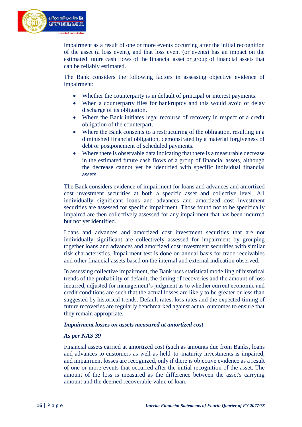

impairment as a result of one or more events occurring after the initial recognition of the asset (a loss event), and that loss event (or events) has an impact on the estimated future cash flows of the financial asset or group of financial assets that can be reliably estimated.

The Bank considers the following factors in assessing objective evidence of impairment:

- Whether the counterparty is in default of principal or interest payments.
- When a counterparty files for bankruptcy and this would avoid or delay discharge of its obligation.
- Where the Bank initiates legal recourse of recovery in respect of a credit obligation of the counterpart.
- Where the Bank consents to a restructuring of the obligation, resulting in a diminished financial obligation, demonstrated by a material forgiveness of debt or postponement of scheduled payments.
- Where there is observable data indicating that there is a measurable decrease in the estimated future cash flows of a group of financial assets, although the decrease cannot yet be identified with specific individual financial assets.

The Bank considers evidence of impairment for loans and advances and amortized cost investment securities at both a specific asset and collective level. All individually significant loans and advances and amortized cost investment securities are assessed for specific impairment. Those found not to be specifically impaired are then collectively assessed for any impairment that has been incurred but not yet identified.

Loans and advances and amortized cost investment securities that are not individually significant are collectively assessed for impairment by grouping together loans and advances and amortized cost investment securities with similar risk characteristics. Impairment test is done on annual basis for trade receivables and other financial assets based on the internal and external indication observed.

In assessing collective impairment, the Bank uses statistical modelling of historical trends of the probability of default, the timing of recoveries and the amount of loss incurred, adjusted for management's judgment as to whether current economic and credit conditions are such that the actual losses are likely to be greater or less than suggested by historical trends. Default rates, loss rates and the expected timing of future recoveries are regularly benchmarked against actual outcomes to ensure that they remain appropriate.

#### *Impairment losses on assets measured at amortized cost*

#### *As per NAS 39*

Financial assets carried at amortized cost (such as amounts due from Banks, loans and advances to customers as well as held–to–maturity investments is impaired, and impairment losses are recognized, only if there is objective evidence as a result of one or more events that occurred after the initial recognition of the asset. The amount of the loss is measured as the difference between the asset's carrying amount and the deemed recoverable value of loan.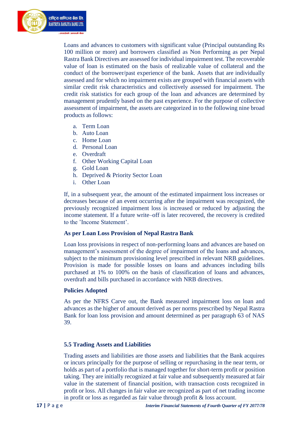

Loans and advances to customers with significant value (Principal outstanding Rs 100 million or more) and borrowers classified as Non Performing as per Nepal Rastra Bank Directives are assessed for individual impairment test. The recoverable value of loan is estimated on the basis of realizable value of collateral and the conduct of the borrower/past experience of the bank. Assets that are individually assessed and for which no impairment exists are grouped with financial assets with similar credit risk characteristics and collectively assessed for impairment. The credit risk statistics for each group of the loan and advances are determined by management prudently based on the past experience. For the purpose of collective assessment of impairment, the assets are categorized in to the following nine broad products as follows:

- a. Term Loan
- b. Auto Loan
- c. Home Loan
- d. Personal Loan
- e. Overdraft
- f. Other Working Capital Loan
- g. Gold Loan
- h. Deprived & Priority Sector Loan
- i. Other Loan

If, in a subsequent year, the amount of the estimated impairment loss increases or decreases because of an event occurring after the impairment was recognized, the previously recognized impairment loss is increased or reduced by adjusting the income statement. If a future write–off is later recovered, the recovery is credited to the 'Income Statement'.

#### **As per Loan Loss Provision of Nepal Rastra Bank**

Loan loss provisions in respect of non-performing loans and advances are based on management's assessment of the degree of impairment of the loans and advances, subject to the minimum provisioning level prescribed in relevant NRB guidelines. Provision is made for possible losses on loans and advances including bills purchased at 1% to 100% on the basis of classification of loans and advances, overdraft and bills purchased in accordance with NRB directives.

#### **Policies Adopted**

As per the NFRS Carve out, the Bank measured impairment loss on loan and advances as the higher of amount derived as per norms prescribed by Nepal Rastra Bank for loan loss provision and amount determined as per paragraph 63 of NAS 39.

#### **5.5 Trading Assets and Liabilities**

Trading assets and liabilities are those assets and liabilities that the Bank acquires or incurs principally for the purpose of selling or repurchasing in the near term, or holds as part of a portfolio that is managed together for short-term profit or position taking. They are initially recognized at fair value and subsequently measured at fair value in the statement of financial position, with transaction costs recognized in profit or loss. All changes in fair value are recognized as part of net trading income in profit or loss as regarded as fair value through profit & loss account.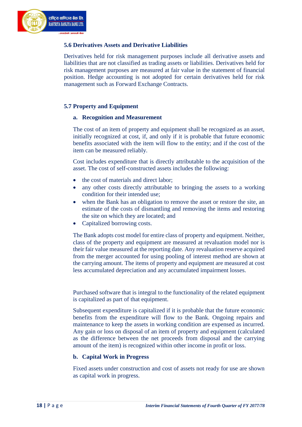

#### **5.6 Derivatives Assets and Derivative Liabilities**

Derivatives held for risk management purposes include all derivative assets and liabilities that are not classified as trading assets or liabilities. Derivatives held for risk management purposes are measured at fair value in the statement of financial position. Hedge accounting is not adopted for certain derivatives held for risk management such as Forward Exchange Contracts.

#### **5.7 Property and Equipment**

#### **a. Recognition and Measurement**

The cost of an item of property and equipment shall be recognized as an asset, initially recognized at cost, if, and only if it is probable that future economic benefits associated with the item will flow to the entity; and if the cost of the item can be measured reliably.

Cost includes expenditure that is directly attributable to the acquisition of the asset. The cost of self-constructed assets includes the following:

- the cost of materials and direct labor;
- any other costs directly attributable to bringing the assets to a working condition for their intended use;
- when the Bank has an obligation to remove the asset or restore the site, an estimate of the costs of dismantling and removing the items and restoring the site on which they are located; and
- Capitalized borrowing costs.

The Bank adopts cost model for entire class of property and equipment. Neither, class of the property and equipment are measured at revaluation model nor is their fair value measured at the reporting date. Any revaluation reserve acquired from the merger accounted for using pooling of interest method are shown at the carrying amount. The items of property and equipment are measured at cost less accumulated depreciation and any accumulated impairment losses.

Purchased software that is integral to the functionality of the related equipment is capitalized as part of that equipment.

Subsequent expenditure is capitalized if it is probable that the future economic benefits from the expenditure will flow to the Bank. Ongoing repairs and maintenance to keep the assets in working condition are expensed as incurred. Any gain or loss on disposal of an item of property and equipment (calculated as the difference between the net proceeds from disposal and the carrying amount of the item) is recognized within other income in profit or loss.

#### **b. Capital Work in Progress**

Fixed assets under construction and cost of assets not ready for use are shown as capital work in progress.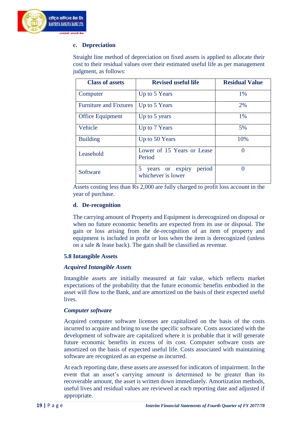

#### **c. Depreciation**

Straight line method of depreciation on fixed assets is applied to allocate their cost to their residual values over their estimated useful life as per management judgment, as follows:

| <b>Class of assets</b>        | <b>Revised useful life</b>                           | <b>Residual Value</b> |
|-------------------------------|------------------------------------------------------|-----------------------|
| Computer                      | Up to 5 Years                                        | 1%                    |
| <b>Furniture and Fixtures</b> | Up to 5 Years                                        | 2%                    |
| <b>Office Equipment</b>       | Up to 5 years                                        | 1%                    |
| Vehicle                       | Up to 7 Years                                        | 5%                    |
| <b>Building</b>               | Up to 50 Years                                       | 10%                   |
| Leasehold                     | Lower of 15 Years or Lease<br>Period                 | 0                     |
| Software                      | period<br>5<br>years or expiry<br>whichever is lower | 0                     |

Assets costing less than Rs 2,000 are fully charged to profit loss account in the year of purchase.

#### **d. De-recognition**

The carrying amount of Property and Equipment is derecognized on disposal or when no future economic benefits are expected from its use or disposal. The gain or loss arising from the de-recognition of an item of property and equipment is included in profit or loss when the item is derecognized (unless on a sale & lease back). The gain shall be classified as revenue.

#### **5.8 Intangible Assets**

#### *Acquired Intangible Assets*

Intangible assets are initially measured at fair value, which reflects market expectations of the probability that the future economic benefits embodied in the asset will flow to the Bank, and are amortized on the basis of their expected useful lives.

#### *Computer software*

Acquired computer software licenses are capitalized on the basis of the costs incurred to acquire and bring to use the specific software. Costs associated with the development of software are capitalized where it is probable that it will generate future economic benefits in excess of its cost. Computer software costs are amortized on the basis of expected useful life. Costs associated with maintaining software are recognized as an expense as incurred.

At each reporting date, these assets are assessed for indicators of impairment. In the event that an asset's carrying amount is determined to be greater than its recoverable amount, the asset is written down immediately. Amortization methods, useful lives and residual values are reviewed at each reporting date and adjusted if appropriate.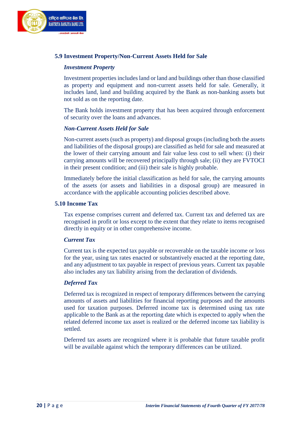

#### **5.9 Investment Property/Non-Current Assets Held for Sale**

#### *Investment Property*

Investment properties includes land or land and buildings other than those classified as property and equipment and non-current assets held for sale. Generally, it includes land, land and building acquired by the Bank as non-banking assets but not sold as on the reporting date.

The Bank holds investment property that has been acquired through enforcement of security over the loans and advances.

#### *Non-Current Assets Held for Sale*

Non-current assets (such as property) and disposal groups (including both the assets and liabilities of the disposal groups) are classified as held for sale and measured at the lower of their carrying amount and fair value less cost to sell when: (i) their carrying amounts will be recovered principally through sale; (ii) they are FVTOCI in their present condition; and (iii) their sale is highly probable.

Immediately before the initial classification as held for sale, the carrying amounts of the assets (or assets and liabilities in a disposal group) are measured in accordance with the applicable accounting policies described above.

#### **5.10 Income Tax**

Tax expense comprises current and deferred tax. Current tax and deferred tax are recognised in profit or loss except to the extent that they relate to items recognised directly in equity or in other comprehensive income.

#### *Current Tax*

Current tax is the expected tax payable or recoverable on the taxable income or loss for the year, using tax rates enacted or substantively enacted at the reporting date, and any adjustment to tax payable in respect of previous years. Current tax payable also includes any tax liability arising from the declaration of dividends.

#### *Deferred Tax*

Deferred tax is recognized in respect of temporary differences between the carrying amounts of assets and liabilities for financial reporting purposes and the amounts used for taxation purposes. Deferred income tax is determined using tax rate applicable to the Bank as at the reporting date which is expected to apply when the related deferred income tax asset is realized or the deferred income tax liability is settled.

Deferred tax assets are recognized where it is probable that future taxable profit will be available against which the temporary differences can be utilized.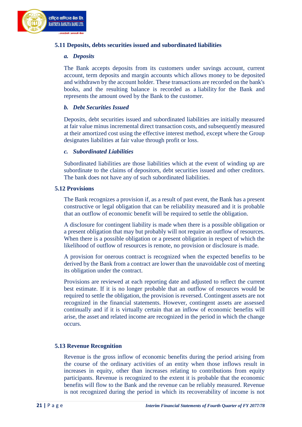

#### **5.11 Deposits, debts securities issued and subordinated liabilities**

#### *a. Deposits*

The Bank accepts deposits from its customers under [savings account,](https://en.wikipedia.org/wiki/Savings_account) [current](https://en.wikipedia.org/wiki/Transaction_account#Current_accounts)  [account,](https://en.wikipedia.org/wiki/Transaction_account#Current_accounts) term deposits and margin accounts which allows [money](https://en.wikipedia.org/wiki/Money) to be deposited and withdrawn by the account holder. These transactions are recorded on the bank's books, and the resulting balance is recorded as a [liability](https://en.wikipedia.org/wiki/Liability_(accounting)) for the Bank and represents the amount owed by the Bank to the customer.

#### *b. Debt Securities Issued*

Deposits, debt securities issued and subordinated liabilities are initially measured at fair value minus incremental direct transaction costs, and subsequently measured at their amortized cost using the effective interest method, except where the Group designates liabilities at fair value through profit or loss.

#### *c. Subordinated Liabilities*

Subordinated liabilities are those liabilities which at the event of winding up are subordinate to the claims of depositors, debt securities issued and other creditors. The bank does not have any of such subordinated liabilities.

#### **5.12 Provisions**

The Bank recognizes a provision if, as a result of past event, the Bank has a present constructive or legal obligation that can be reliability measured and it is probable that an outflow of economic benefit will be required to settle the obligation.

A disclosure for contingent liability is made when there is a possible obligation or a present obligation that may but probably will not require an outflow of resources. When there is a possible obligation or a present obligation in respect of which the likelihood of outflow of resources is remote, no provision or disclosure is made.

A provision for onerous contract is recognized when the expected benefits to be derived by the Bank from a contract are lower than the unavoidable cost of meeting its obligation under the contract.

Provisions are reviewed at each reporting date and adjusted to reflect the current best estimate. If it is no longer probable that an outflow of resources would be required to settle the obligation, the provision is reversed. Contingent assets are not recognized in the financial statements. However, contingent assets are assessed continually and if it is virtually certain that an inflow of economic benefits will arise, the asset and related income are recognized in the period in which the change occurs.

#### **5.13 Revenue Recognition**

Revenue is the gross inflow of economic benefits during the period arising from the course of the ordinary activities of an entity when those inflows result in increases in equity, other than increases relating to contributions from equity participants. Revenue is recognized to the extent it is probable that the economic benefits will flow to the Bank and the revenue can be reliably measured. Revenue is not recognized during the period in which its recoverability of income is not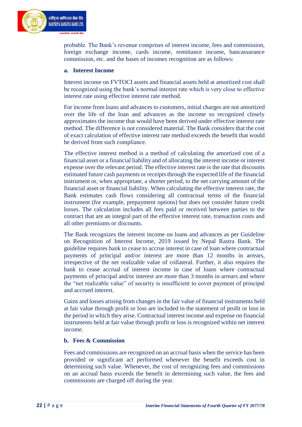

probable. The Bank's revenue comprises of interest income, fees and commission, foreign exchange income, cards income, remittance income, bancassurance commission, etc. and the bases of incomes recognition are as follows:

#### **a. Interest Income**

Interest income on FVTOCI assets and financial assets held at amortized cost shall be recognized using the bank's normal interest rate which is very close to effective interest rate using effective interest rate method.

For income from loans and advances to customers, initial charges are not amortized over the life of the loan and advances as the income so recognized closely approximates the income that would have been derived under effective interest rate method. The difference is not considered material. The Bank considers that the cost of exact calculation of effective interest rate method exceeds the benefit that would be derived from such compliance.

The effective interest method is a method of calculating the amortized cost of a financial asset or a financial liability and of allocating the interest income or interest expense over the relevant period. The effective interest rate is the rate that discounts estimated future cash payments or receipts through the expected life of the financial instrument or, when appropriate, a shorter period, to the net carrying amount of the financial asset or financial liability. When calculating the effective interest rate, the Bank estimates cash flows considering all contractual terms of the financial instrument (for example, prepayment options) but does not consider future credit losses. The calculation includes all fees paid or received between parties to the contract that are an integral part of the effective interest rate, transaction costs and all other premiums or discounts.

The Bank recognizes the interest income on loans and advances as per Guideline on Recognition of Interest Income, 2019 issued by Nepal Rastra Bank. The guideline requires bank to cease to accrue interest in case of loan where contractual payments of principal and/or interest are more than 12 months in arrears, irrespective of the net realizable value of collateral. Further, it also requires the bank to cease accrual of interest income in case of loans where contractual payments of principal and/or interest are more than 3 months in arrears and where the "net realizable value" of security is insufficient to cover payment of principal and accrued interest.

Gains and losses arising from changes in the fair value of financial instruments held at fair value through profit or loss are included in the statement of profit or loss in the period in which they arise. Contractual interest income and expense on financial instruments held at fair value through profit or loss is recognized within net interest income.

#### **b. Fees & Commission**

Fees and commissions are recognized on an accrual basis when the service has been provided or significant act performed whenever the benefit exceeds cost in determining such value. Whenever, the cost of recognizing fees and commissions on an accrual basis exceeds the benefit in determining such value, the fees and commissions are charged off during the year.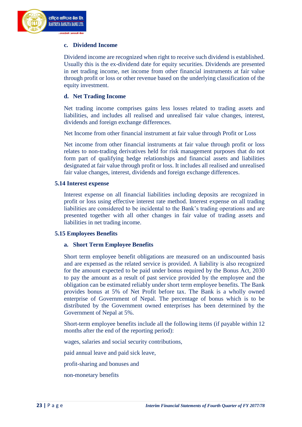#### **c. Dividend Income**

Dividend income are recognized when right to receive such dividend is established. Usually this is the ex-dividend date for equity securities. Dividends are presented in net trading income, net income from other financial instruments at fair value through profit or loss or other revenue based on the underlying classification of the equity investment.

#### **d. Net Trading Income**

Net trading income comprises gains less losses related to trading assets and liabilities, and includes all realised and unrealised fair value changes, interest, dividends and foreign exchange differences.

Net Income from other financial instrument at fair value through Profit or Loss

Net income from other financial instruments at fair value through profit or loss relates to non-trading derivatives held for risk management purposes that do not form part of qualifying hedge relationships and financial assets and liabilities designated at fair value through profit or loss. It includes all realised and unrealised fair value changes, interest, dividends and foreign exchange differences.

#### **5.14 Interest expense**

Interest expense on all financial liabilities including deposits are recognized in profit or loss using effective interest rate method. Interest expense on all trading liabilities are considered to be incidental to the Bank's trading operations and are presented together with all other changes in fair value of trading assets and liabilities in net trading income.

#### **5.15 Employees Benefits**

#### **a. Short Term Employee Benefits**

Short term employee benefit obligations are measured on an undiscounted basis and are expensed as the related service is provided. A liability is also recognized for the amount expected to be paid under bonus required by the Bonus Act, 2030 to pay the amount as a result of past service provided by the employee and the obligation can be estimated reliably under short term employee benefits. The Bank provides bonus at 5% of Net Profit before tax. The Bank is a wholly owned enterprise of Government of Nepal. The percentage of bonus which is to be distributed by the Government owned enterprises has been determined by the Government of Nepal at 5%.

Short-term employee benefits include all the following items (if payable within 12 months after the end of the reporting period):

wages, salaries and social security contributions,

paid annual leave and paid sick leave,

profit-sharing and bonuses and

non-monetary benefits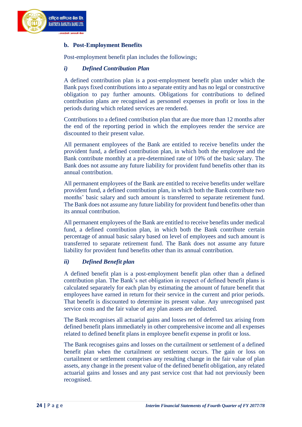

#### **b. Post-Employment Benefits**

Post-employment benefit plan includes the followings;

#### *i) Defined Contribution Plan*

A defined contribution plan is a post-employment benefit plan under which the Bank pays fixed contributions into a separate entity and has no legal or constructive obligation to pay further amounts. Obligations for contributions to defined contribution plans are recognised as personnel expenses in profit or loss in the periods during which related services are rendered.

Contributions to a defined contribution plan that are due more than 12 months after the end of the reporting period in which the employees render the service are discounted to their present value.

All permanent employees of the Bank are entitled to receive benefits under the provident fund, a defined contribution plan, in which both the employee and the Bank contribute monthly at a pre-determined rate of 10% of the basic salary. The Bank does not assume any future liability for provident fund benefits other than its annual contribution.

All permanent employees of the Bank are entitled to receive benefits under welfare provident fund, a defined contribution plan, in which both the Bank contribute two months' basic salary and such amount is transferred to separate retirement fund. The Bank does not assume any future liability for provident fund benefits other than its annual contribution.

All permanent employees of the Bank are entitled to receive benefits under medical fund, a defined contribution plan, in which both the Bank contribute certain percentage of annual basic salary based on level of employees and such amount is transferred to separate retirement fund. The Bank does not assume any future liability for provident fund benefits other than its annual contribution.

#### *ii) Defined Benefit plan*

A defined benefit plan is a post-employment benefit plan other than a defined contribution plan. The Bank's net obligation in respect of defined benefit plans is calculated separately for each plan by estimating the amount of future benefit that employees have earned in return for their service in the current and prior periods. That benefit is discounted to determine its present value. Any unrecognised past service costs and the fair value of any plan assets are deducted.

The Bank recognises all actuarial gains and losses net of deferred tax arising from defined benefit plans immediately in other comprehensive income and all expenses related to defined benefit plans in employee benefit expense in profit or loss.

The Bank recognises gains and losses on the curtailment or settlement of a defined benefit plan when the curtailment or settlement occurs. The gain or loss on curtailment or settlement comprises any resulting change in the fair value of plan assets, any change in the present value of the defined benefit obligation, any related actuarial gains and losses and any past service cost that had not previously been recognised.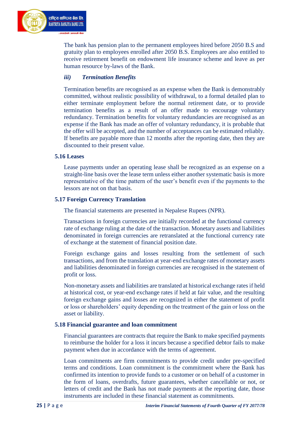

The bank has pension plan to the permanent employees hired before 2050 B.S and gratuity plan to employees enrolled after 2050 B.S. Employees are also entitled to receive retirement benefit on endowment life insurance scheme and leave as per human resource by-laws of the Bank.

#### *iii) Termination Benefits*

Termination benefits are recognised as an expense when the Bank is demonstrably committed, without realistic possibility of withdrawal, to a formal detailed plan to either terminate employment before the normal retirement date, or to provide termination benefits as a result of an offer made to encourage voluntary redundancy. Termination benefits for voluntary redundancies are recognised as an expense if the Bank has made an offer of voluntary redundancy, it is probable that the offer will be accepted, and the number of acceptances can be estimated reliably. If benefits are payable more than 12 months after the reporting date, then they are discounted to their present value.

#### **5.16 Leases**

Lease payments under an operating lease shall be recognized as an expense on a straight-line basis over the lease term unless either another systematic basis is more representative of the time pattern of the user's benefit even if the payments to the lessors are not on that basis.

#### **5.17 Foreign Currency Translation**

The financial statements are presented in Nepalese Rupees (NPR).

Transactions in foreign currencies are initially recorded at the functional currency rate of exchange ruling at the date of the transaction. Monetary assets and liabilities denominated in foreign currencies are retranslated at the functional currency rate of exchange at the statement of financial position date.

Foreign exchange gains and losses resulting from the settlement of such transactions, and from the translation at year-end exchange rates of monetary assets and liabilities denominated in foreign currencies are recognised in the statement of profit or loss.

Non-monetary assets and liabilities are translated at historical exchange rates if held at historical cost, or year-end exchange rates if held at fair value, and the resulting foreign exchange gains and losses are recognized in either the statement of profit or loss or shareholders' equity depending on the treatment of the gain or loss on the asset or liability.

#### **5.18 Financial guarantee and loan commitment**

Financial guarantees are contracts that require the Bank to make specified payments to reimburse the holder for a loss it incurs because a specified debtor fails to make payment when due in accordance with the terms of agreement.

Loan commitments are firm commitments to provide credit under pre-specified terms and conditions. Loan commitment is the commitment where the Bank has confirmed its intention to provide funds to a customer or on behalf of a customer in the form of loans, overdrafts, future guarantees, whether cancellable or not, or letters of credit and the Bank has not made payments at the reporting date, those instruments are included in these financial statement as commitments.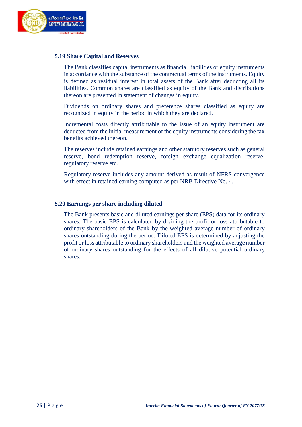

#### **5.19 Share Capital and Reserves**

The Bank classifies capital instruments as financial liabilities or equity instruments in accordance with the substance of the contractual terms of the instruments. Equity is defined as residual interest in total assets of the Bank after deducting all its liabilities. Common shares are classified as equity of the Bank and distributions thereon are presented in statement of changes in equity.

Dividends on ordinary shares and preference shares classified as equity are recognized in equity in the period in which they are declared.

Incremental costs directly attributable to the issue of an equity instrument are deducted from the initial measurement of the equity instruments considering the tax benefits achieved thereon.

The reserves include retained earnings and other statutory reserves such as general reserve, bond redemption reserve, foreign exchange equalization reserve, regulatory reserve etc.

Regulatory reserve includes any amount derived as result of NFRS convergence with effect in retained earning computed as per NRB Directive No. 4.

#### **5.20 Earnings per share including diluted**

The Bank presents basic and diluted earnings per share (EPS) data for its ordinary shares. The basic EPS is calculated by dividing the profit or loss attributable to ordinary shareholders of the Bank by the weighted average number of ordinary shares outstanding during the period. Diluted EPS is determined by adjusting the profit or loss attributable to ordinary shareholders and the weighted average number of ordinary shares outstanding for the effects of all dilutive potential ordinary shares.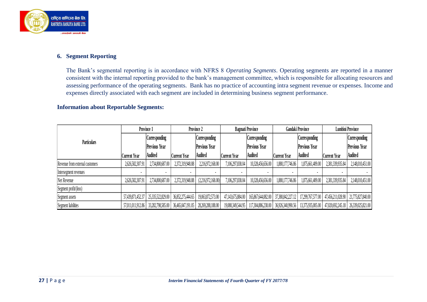

## **6. Segment Reporting**

The Bank's segmental reporting is in accordance with NFRS 8 *Operating Segments*. Operating segments are reported in a manner consistent with the internal reporting provided to the bank's management committee, which is responsible for allocating resources and assessing performance of the operating segments. Bank has no practice of accounting intra segment revenue or expenses. Income and expenses directly associated with each segment are included in determining business segment performance.

### **Information about Reportable Segments:**

|                                 |                   | Province 1           |                     | Province 2           |                     | <b>Bagmati Province</b> | <b>Gandaki Province</b> |                      | <b>Lumbini Province</b> |                                     |
|---------------------------------|-------------------|----------------------|---------------------|----------------------|---------------------|-------------------------|-------------------------|----------------------|-------------------------|-------------------------------------|
| <b>Particulars</b>              |                   | Corresponding        |                     | Corresponding        |                     | Corresponding           |                         | Corresponding        |                         | Corresponding                       |
|                                 |                   | <b>Previous Year</b> |                     | <b>Previous Year</b> |                     | <b>Previous Year</b>    |                         | <b>Previous Year</b> |                         | <b>Previous Year</b>                |
|                                 | Current Year      | <b>Audited</b>       | <b>Current Year</b> | <b>Audited</b>       | <b>Current Year</b> | <b>Audited</b>          | <b>Current Year</b>     | <b>Audited</b>       | <b>Current Year</b>     | <b>Audited</b>                      |
| Revenue from external customers | 2,626,582,307.91  | 2,734,800,687.00     | 2,372,319,948.88    | 2,216,972,168.00     | 7,106,297,838.04    | 10,328,456,656.00       | 1,880,177,746.86        | 1,875,661,409.00     | 2,381,339,935.84        | 2,148,010,451.00                    |
| Intersegment revenues           |                   |                      |                     |                      |                     |                         |                         |                      |                         |                                     |
| Net Revenue                     | 2,626,582,307.91  | 2,734,800,687.00     | 2,372,319,948.88    | (2,216,972,168.00)   | 7,106,297,838.04    | 10,328,456,656.00       | 1,880,177,746.86        | 1,875,661,409.00     | 2,381,339,935.84        | 2,148,010,451.00                    |
| Segment profit/(loss)           |                   |                      |                     |                      |                     |                         |                         |                      |                         |                                     |
| Segment assets                  | 57,439,871,452.37 | 25,335,522,829.00    | 36,852,275,444.65   | 19,063,872,573.00    | 47,143,675,884.00   | 165,867,644,082.00      | 37,380,842,227.12       | 17,299,767,577.00    | 47,456,211,028.90       | 21,775,827,840.00                   |
| Segment liabilities             | 57,011,011,912.86 | 33,282,798,585.00    | 36,465,047,191.05   | 28,269,288,188.00    | 19,080,349,544.95   | 117,304,886,238.00      | 36,926,340,990.56       | 13,375,935,005.00    |                         | 47,020,692,245.18 26,339,025,821.00 |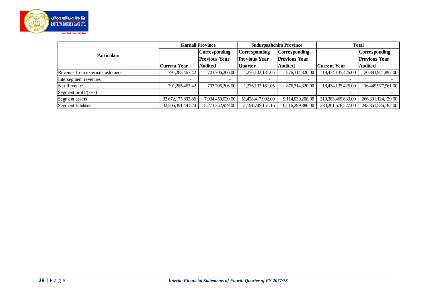

| Corresponding<br>Corresponding<br>Corresponding<br><b>Corresponding</b><br><b>Particulars</b><br><b>Previous Year</b><br><b>Previous Year</b><br><b>Previous Year</b><br><b>Previous Year</b><br><b>Audited</b><br><b>Audited</b><br><b>Audited</b><br><b>Current Year</b><br>Quarter<br><b>Current Year</b><br>1,276,132,181.05<br>876,314,320.00<br>791,285,467.42<br>703,706,206.00<br>18,434,135,426.00<br>Revenue from external customers<br>Intersegment revenues<br>791,285,467.42<br>703,706,206.00<br>1,276,132,181.05<br>876,314,320.00<br>18,434,135,426.00<br>Net Revenue<br>Segment profit/(loss)<br>32,672,175,893.86<br>7,934,459,020.00<br>51,438,417,902.09<br>9,114,030,208.00<br>310,383,469,833.00<br>Segment assets<br>Segment liabilities<br>32,506,391,491.24<br>51, 191, 745, 151. 16<br>8,273,352,959.00<br>16,516,299,386.00<br>280, 201, 578, 527.00 |  | <b>Karnali Province</b> | <b>Sudurpashchim Province</b> | <b>Total</b> |                    |  |
|---------------------------------------------------------------------------------------------------------------------------------------------------------------------------------------------------------------------------------------------------------------------------------------------------------------------------------------------------------------------------------------------------------------------------------------------------------------------------------------------------------------------------------------------------------------------------------------------------------------------------------------------------------------------------------------------------------------------------------------------------------------------------------------------------------------------------------------------------------------------------------|--|-------------------------|-------------------------------|--------------|--------------------|--|
|                                                                                                                                                                                                                                                                                                                                                                                                                                                                                                                                                                                                                                                                                                                                                                                                                                                                                 |  |                         |                               |              |                    |  |
|                                                                                                                                                                                                                                                                                                                                                                                                                                                                                                                                                                                                                                                                                                                                                                                                                                                                                 |  |                         |                               |              |                    |  |
|                                                                                                                                                                                                                                                                                                                                                                                                                                                                                                                                                                                                                                                                                                                                                                                                                                                                                 |  |                         |                               |              |                    |  |
|                                                                                                                                                                                                                                                                                                                                                                                                                                                                                                                                                                                                                                                                                                                                                                                                                                                                                 |  |                         |                               |              | 20,883,921,897.00  |  |
|                                                                                                                                                                                                                                                                                                                                                                                                                                                                                                                                                                                                                                                                                                                                                                                                                                                                                 |  |                         |                               |              |                    |  |
|                                                                                                                                                                                                                                                                                                                                                                                                                                                                                                                                                                                                                                                                                                                                                                                                                                                                                 |  |                         |                               |              | 16,449,977,561.00  |  |
|                                                                                                                                                                                                                                                                                                                                                                                                                                                                                                                                                                                                                                                                                                                                                                                                                                                                                 |  |                         |                               |              |                    |  |
|                                                                                                                                                                                                                                                                                                                                                                                                                                                                                                                                                                                                                                                                                                                                                                                                                                                                                 |  |                         |                               |              | 266,391,124,129.00 |  |
|                                                                                                                                                                                                                                                                                                                                                                                                                                                                                                                                                                                                                                                                                                                                                                                                                                                                                 |  |                         |                               |              | 243,361,586,182.00 |  |
|                                                                                                                                                                                                                                                                                                                                                                                                                                                                                                                                                                                                                                                                                                                                                                                                                                                                                 |  |                         |                               |              |                    |  |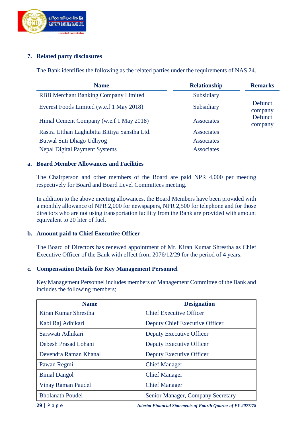

## **7. Related party disclosures**

The Bank identifies the following as the related parties under the requirements of NAS 24.

| <b>Name</b>                                   | <b>Relationship</b> | <b>Remarks</b>     |
|-----------------------------------------------|---------------------|--------------------|
| <b>RBB Merchant Banking Company Limited</b>   | Subsidiary          |                    |
| Everest Foods Limited (w.e.f 1 May 2018)      | Subsidiary          | Defunct<br>company |
| Himal Cement Company (w.e.f 1 May 2018)       | <b>Associates</b>   | Defunct<br>company |
| Rastra Utthan Laghubitta Bittiya Sanstha Ltd. | <b>Associates</b>   |                    |
| Butwal Suti Dhago Udhyog                      | <b>Associates</b>   |                    |
| <b>Nepal Digital Payment Systems</b>          | <b>Associates</b>   |                    |

#### **a. Board Member Allowances and Facilities**

The Chairperson and other members of the Board are paid NPR 4,000 per meeting respectively for Board and Board Level Committees meeting.

In addition to the above meeting allowances, the Board Members have been provided with a monthly allowance of NPR 2,000 for newspapers, NPR 2,500 for telephone and for those directors who are not using transportation facility from the Bank are provided with amount equivalent to 20 liter of fuel.

#### **b. Amount paid to Chief Executive Officer**

The Board of Directors has renewed appointment of Mr. Kiran Kumar Shrestha as Chief Executive Officer of the Bank with effect from 2076/12/29 for the period of 4 years.

#### **c. Compensation Details for Key Management Personnel**

Key Management Personnel includes members of Management Committee of the Bank and includes the following members;

| <b>Name</b>               | <b>Designation</b>                |
|---------------------------|-----------------------------------|
| Kiran Kumar Shrestha      | <b>Chief Executive Officer</b>    |
| Kabi Raj Adhikari         | Deputy Chief Executive Officer    |
| Sarswati Adhikari         | Deputy Executive Officer          |
| Debesh Prasad Lohani      | Deputy Executive Officer          |
| Devendra Raman Khanal     | Deputy Executive Officer          |
| Pawan Regmi               | <b>Chief Manager</b>              |
| <b>Bimal Dangol</b>       | <b>Chief Manager</b>              |
| <b>Vinay Raman Paudel</b> | <b>Chief Manager</b>              |
| <b>Bholanath Poudel</b>   | Senior Manager, Company Secretary |

**29 |** P a g e*Interim Financial Statements of Fourth Quarter of FY 2077/78*